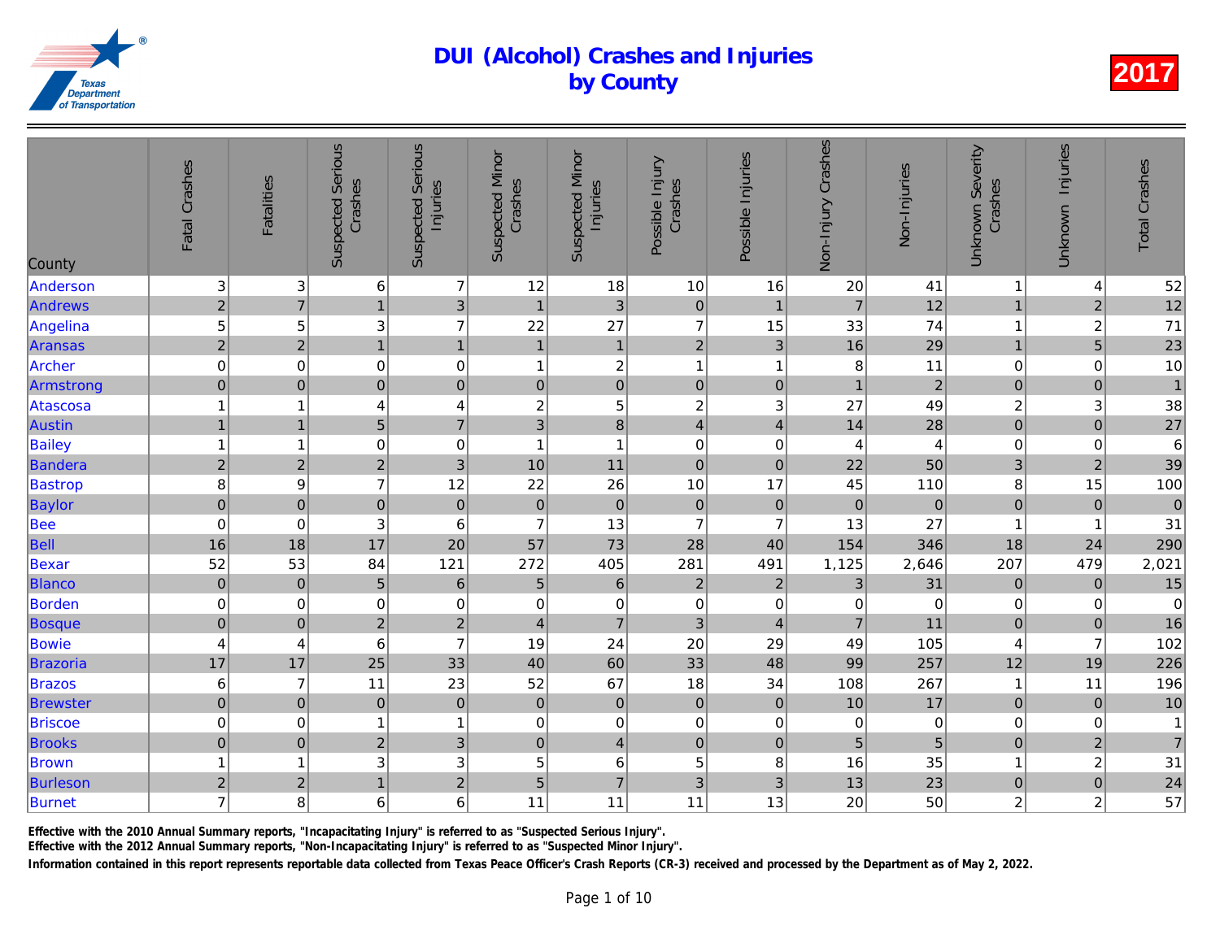| County          | Fatal Crashes           | Fatalities              | <b>Suspected Serious</b><br>Crashes | <b>Suspected Serious</b><br>Injuries | <b>Suspected Minor</b><br>Crashes | <b>Suspected Minor</b><br>Injuries | Possible Injury<br>Crashes | Possible Injuries         | Non-Injury Crashes | Non-Injuries   |
|-----------------|-------------------------|-------------------------|-------------------------------------|--------------------------------------|-----------------------------------|------------------------------------|----------------------------|---------------------------|--------------------|----------------|
| Anderson        | 3 <sup>1</sup>          | 3                       | 6                                   | $\overline{7}$                       | 12                                | 18                                 | $10$                       | 16                        | 20                 | 41             |
| <b>Andrews</b>  | $\overline{a}$          | $\overline{7}$          | 1                                   | 3                                    | $\mathbf{1}$                      | 3                                  | $\pmb{0}$                  | $\mathbf{1}$              | $\overline{7}$     | 12             |
| Angelina        | $\overline{5}$          | 5                       | $\ensuremath{\mathsf{3}}$           | $\overline{7}$                       | 22                                | 27                                 | $\overline{7}$             | 15                        | 33                 | 74             |
| <b>Aransas</b>  | $\overline{2}$          | $\overline{2}$          | $\mathbf{1}$                        | $\overline{1}$                       | $\mathbf{1}$                      | $\overline{1}$                     | $\overline{2}$             | $\overline{3}$            | 16                 | 29             |
| Archer          | $\pmb{0}$               | $\mathbf 0$             | $\mathbf 0$                         | $\mathbf 0$                          | $\overline{\mathbf{1}}$           | $\boldsymbol{2}$                   | $\mathbf{1}$               | $\overline{1}$            | 8                  | 11             |
| Armstrong       | $\mathbf 0$             | $\mathbf 0$             | $\overline{0}$                      | $\mathbf 0$                          | $\overline{0}$                    | $\overline{0}$                     | $\mathbf 0$                | $\mathbf 0$               | $\mathbf{1}$       | $\overline{a}$ |
| Atascosa        | $\mathbf{1}$            | 1                       | 4                                   | 4                                    | $\overline{\mathbf{c}}$           | $\mathbf 5$                        | $\overline{c}$             | $\ensuremath{\mathsf{3}}$ | 27                 | 49             |
| <b>Austin</b>   | $\mathbf{1}$            | $\mathbf{1}$            | $\overline{5}$                      | $\overline{7}$                       | 3                                 | 8                                  | $\overline{\mathbf{4}}$    | $\overline{\mathbf{4}}$   | 14                 | 28             |
| <b>Bailey</b>   | $\mathbf{1}$            | 1                       | $\pmb{0}$                           | $\mathbf 0$                          | $\overline{1}$                    | $\mathbf{1}$                       | $\boldsymbol{0}$           | $\pmb{0}$                 | 4                  | $\overline{4}$ |
| Bandera         | $\overline{\mathbf{c}}$ | $\overline{c}$          | $\overline{2}$                      | $\overline{3}$                       | 10                                | 11                                 | $\mathbf 0$                | $\mathbf 0$               | 22                 | 50             |
| <b>Bastrop</b>  | 8                       | 9                       | $\overline{7}$                      | 12                                   | 22                                | 26                                 | 10                         | 17                        | 45                 | 110            |
| Baylor          | $\overline{0}$          | $\mathbf 0$             | $\mathbf 0$                         | $\pmb{0}$                            | $\mathbf 0$                       | $\mathbf 0$                        | $\mathbf 0$                | $\boldsymbol{0}$          | $\mathbf 0$        | $\overline{O}$ |
| <b>Bee</b>      | $\pmb{0}$               | 0                       | 3                                   | $\,6$                                | $\overline{7}$                    | 13                                 | $\overline{7}$             | $\overline{7}$            | 13                 | 27             |
| Bell            | 16                      | 18                      | 17                                  | 20                                   | 57                                | 73                                 | 28                         | 40                        | 154                | 346            |
| Bexar           | 52                      | 53                      | 84                                  | 121                                  | 272                               | 405                                | 281                        | 491                       | 1,125              | 2,646          |
| <b>Blanco</b>   | $\overline{0}$          | $\mathbf 0$             | $\overline{5}$                      | $\,$ 6 $\,$                          | 5                                 | 6                                  | $\overline{2}$             | $\overline{2}$            | 3                  | 31             |
| Borden          | $\mathbf 0$             | 0                       | $\mathbf 0$                         | $\mathbf 0$                          | $\mathbf 0$                       | $\mathbf 0$                        | $\pmb{0}$                  | 0                         | $\overline{0}$     | $\overline{0}$ |
| <b>Bosque</b>   | $\pmb{0}$               | $\mathbf 0$             | $\overline{2}$                      | $\overline{2}$                       | $\overline{4}$                    | $\overline{7}$                     | 3                          | $\overline{4}$            | $\overline{7}$     | 11             |
| Bowie           | $\overline{\mathbf{r}}$ | 4                       | $\,6$                               | $\overline{7}$                       | 19                                | 24                                 | 20                         | 29                        | 49                 | 105            |
| Brazoria        | 17                      | 17                      | 25                                  | 33                                   | 40                                | 60                                 | 33                         | 48                        | 99                 | 257            |
| <b>Brazos</b>   | $\,6$                   | $\overline{7}$          | 11                                  | 23                                   | 52                                | 67                                 | 18                         | 34                        | 108                | 267            |
| <b>Brewster</b> | $\overline{0}$          | $\pmb{0}$               | $\pmb{0}$                           | $\pmb{0}$                            | $\pmb{0}$                         | $\pmb{0}$                          | $\pmb{0}$                  | $\pmb{0}$                 | 10                 | 17             |
| <b>Briscoe</b>  | $\mathbf 0$             | $\,0\,$                 | 1                                   | $\mathbf{1}$                         | $\,0\,$                           | $\pmb{0}$                          | $\pmb{0}$                  | $\pmb{0}$                 | $\mathbf 0$        | $\mathbf 0$    |
| <b>Brooks</b>   | $\pmb{0}$               | $\pmb{0}$               | $\overline{2}$                      | $\overline{3}$                       | $\overline{0}$                    | $\overline{4}$                     | $\pmb{0}$                  | $\pmb{0}$                 | 5                  | $\overline{5}$ |
| <b>Brown</b>    | $\mathbf{1}$            | $\overline{\mathbf{1}}$ | $\sqrt{3}$                          | 3                                    | 5                                 | $\,6\,$                            | 5                          | 8                         | 16                 | 35             |
| <b>Burleson</b> | $\sqrt{2}$              | $\overline{c}$          | $\mathbf{1}$                        | $\overline{a}$                       | 5                                 | $\overline{7}$                     | 3                          | 3                         | 13                 | 23             |
| Burnet          | $\overline{7}$          | 8                       | 6                                   | 6                                    | 11                                | 11                                 | 11                         | 13                        | 20                 | 50             |
|                 |                         |                         |                                     |                                      |                                   |                                    |                            |                           |                    |                |

Effective with the 2010 Annual Summary reports, "Incapacitating Injury" is referred to as "Suspected Serious Injury".

Effective with the 2012 Annual Summary reports, "Non-Incapacitating Injury" is referred to as "Suspected Minor Injury".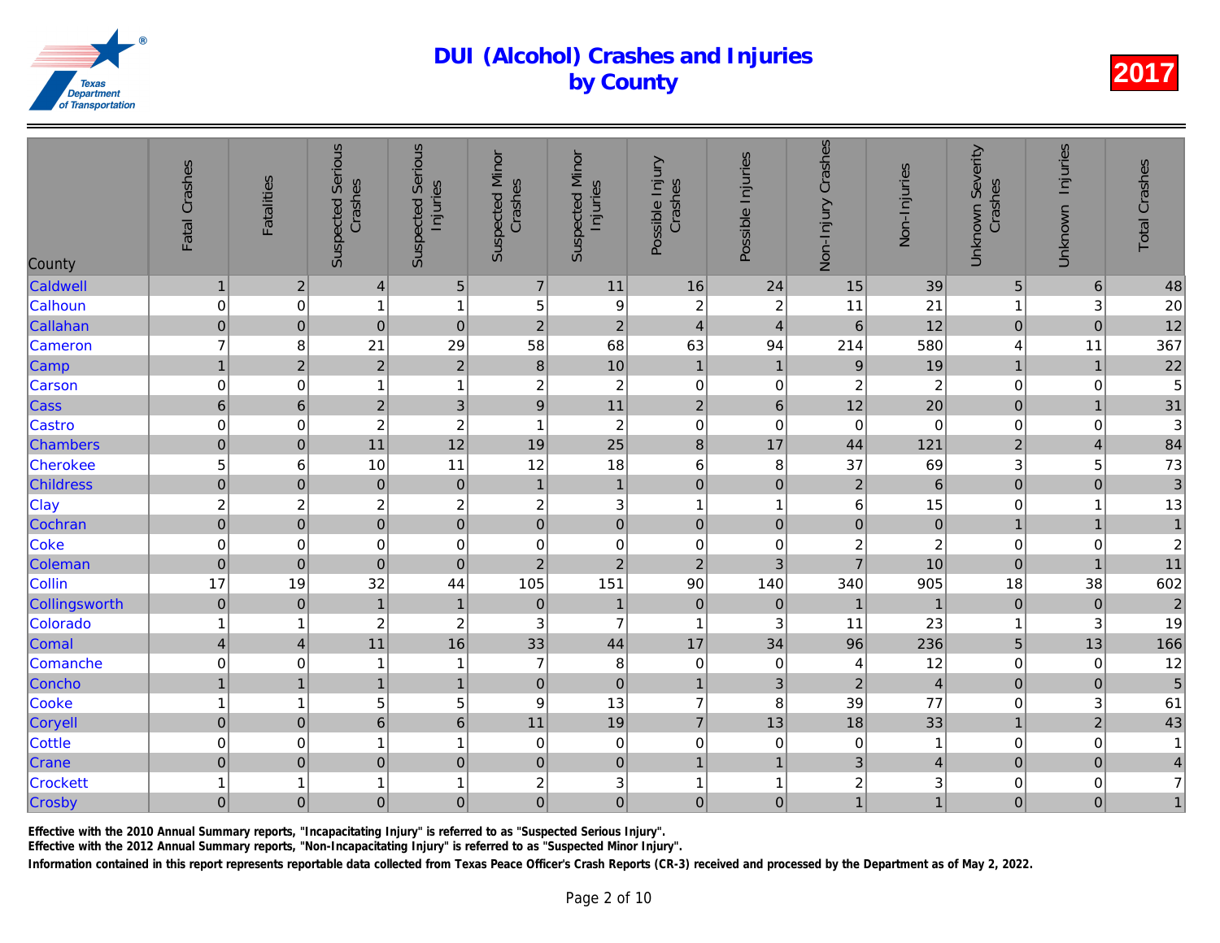| County           | Fatal Crashes    | <b>Fatalities</b> | <b>Suspected Serious</b><br>Crashes | <b>Suspected Serious</b><br>Injuries | <b>Suspected Minor</b><br>Crashes | <b>Suspected Minor</b><br>Injuries | Possible Injury<br>Crashes | Possible Injuries       | Non-Injury Crashes      | Non-Injuries    |
|------------------|------------------|-------------------|-------------------------------------|--------------------------------------|-----------------------------------|------------------------------------|----------------------------|-------------------------|-------------------------|-----------------|
| Caldwell         | $\mathbf{1}$     | $\sqrt{2}$        | $\overline{4}$                      | $\sqrt{5}$                           | $\overline{7}$                    | 11                                 | 16                         | 24                      | 15                      | 39              |
| Calhoun          | $\pmb{0}$        | $\mathbf 0$       | 1                                   | $\mathbf{1}$                         | 5                                 | 9                                  | $\boldsymbol{2}$           | $\boldsymbol{2}$        | 11                      | 21              |
| Callahan         | $\boldsymbol{0}$ | $\pmb{0}$         | $\pmb{0}$                           | $\mathbf 0$                          | $\mathbf 2$                       | $\overline{2}$                     | $\overline{4}$             | $\overline{4}$          | 6                       | 12              |
| Cameron          | $\overline{7}$   | 8                 | 21                                  | 29                                   | 58                                | 68                                 | 63                         | 94                      | 214                     | 580             |
| Camp             | $\overline{1}$   | $\overline{2}$    | $\overline{2}$                      | $\overline{2}$                       | $\bf{8}$                          | 10                                 | $\mathbf{1}$               | $\overline{1}$          | $\overline{9}$          | 19              |
| Carson           | $\pmb{0}$        | $\mathbf 0$       | 1                                   | $\mathbf{1}$                         | $\boldsymbol{2}$                  | $\sqrt{2}$                         | $\mathbf 0$                | 0                       | $\overline{c}$          | $\overline{a}$  |
| Cass             | $\,6\,$          | $\,$ 6 $\,$       | $\overline{2}$                      | 3                                    | $\boldsymbol{9}$                  | 11                                 | $\sqrt{2}$                 | $\,$ 6 $\,$             | 12                      | 20              |
| Castro           | $\pmb{0}$        | 0                 | $\boldsymbol{2}$                    | $\overline{c}$                       | 1                                 | $\overline{c}$                     | $\pmb{0}$                  | $\mathbf 0$             | $\mathbf 0$             | $\overline{0}$  |
| <b>Chambers</b>  | $\mathbf 0$      | $\pmb{0}$         | 11                                  | 12                                   | 19                                | 25                                 | $\bf{8}$                   | 17                      | 44                      | 121             |
| Cherokee         | 5                | 6                 | 10                                  | 11                                   | 12                                | 18                                 | $\,6$                      | $\, 8$                  | 37                      | 69              |
| <b>Childress</b> | $\overline{0}$   | $\mathbf 0$       | $\mathbf 0$                         | $\pmb{0}$                            | $\mathbf{1}$                      | $\mathbf{1}$                       | $\mathbf 0$                | $\mathbf 0$             | $\overline{2}$          | $6\overline{6}$ |
| <b>Clay</b>      | $\overline{c}$   | $\overline{c}$    | $\boldsymbol{2}$                    | $\overline{c}$                       | $\boldsymbol{2}$                  | $\ensuremath{\mathsf{3}}$          | $\mathbf{1}$               | $\overline{\mathbf{1}}$ | 6                       | 15              |
| Cochran          | $\overline{0}$   | $\mathbf 0$       | $\overline{0}$                      | $\overline{0}$                       | $\mathbf 0$                       | $\mathbf 0$                        | $\mathbf 0$                | $\mathbf 0$             | $\mathbf 0$             | $\overline{O}$  |
| Coke             | $\mathbf 0$      | 0                 | $\pmb{0}$                           | $\mathbf 0$                          | $\mathbf 0$                       | $\pmb{0}$                          | $\pmb{0}$                  | 0                       | $\overline{c}$          | $\overline{a}$  |
| Coleman          | $\pmb{0}$        | $\mathbf 0$       | $\overline{0}$                      | $\mathbf 0$                          | $\overline{2}$                    | $\overline{2}$                     | $\overline{2}$             | $\overline{3}$          | $\overline{7}$          | 10              |
| Collin           | 17               | 19                | 32                                  | 44                                   | 105                               | 151                                | 90                         | 140                     | 340                     | 905             |
| Collingsworth    | $\overline{0}$   | $\pmb{0}$         | $\mathbf{1}$                        | $\mathbf{1}$                         | $\pmb{0}$                         | $\mathbf{1}$                       | $\mathbf 0$                | $\mathbf 0$             | $\overline{1}$          | $\overline{1}$  |
| Colorado         | $\mathbf{1}$     | 1                 | $\boldsymbol{2}$                    | $\overline{c}$                       | 3                                 | $\overline{7}$                     | $\mathbf{1}$               | 3                       | 11                      | 23              |
| Comal            | $\overline{4}$   | $\overline{4}$    | 11                                  | 16                                   | 33                                | 44                                 | 17                         | 34                      | 96                      | 236             |
| Comanche         | $\pmb{0}$        | 0                 | $\mathbf 1$                         | $\mathbf{1}$                         | $\overline{7}$                    | $\bf 8$                            | $\pmb{0}$                  | $\mathbf 0$             | 4                       | 12              |
| Concho           | $\mathbf{1}$     | $\mathbf 1$       | $\overline{1}$                      | $\mathbf{1}$                         | $\pmb{0}$                         | $\mathbf 0$                        | $\mathbf{1}$               | $\mathbf{3}$            | $\overline{c}$          | $\overline{4}$  |
| Cooke            | $\mathbf{1}$     | 1                 | 5                                   | 5                                    | $\boldsymbol{9}$                  | 13                                 | $\overline{7}$             | 8                       | 39                      | $77 \,$         |
| Coryell          | $\overline{0}$   | $\pmb{0}$         | $6\overline{6}$                     | $\,$ 6 $\,$                          | 11                                | 19                                 | $\overline{7}$             | 13                      | 18                      | 33              |
| <b>Cottle</b>    | $\mathbf 0$      | 0                 | 1                                   | $\mathbf{1}$                         | $\mathbf 0$                       | $\mathbf 0$                        | $\mathbf 0$                | $\pmb{0}$               | $\pmb{0}$               | $\mathbf{1}$    |
| Crane            | $\pmb{0}$        | $\mathbf 0$       | $\overline{0}$                      | $\pmb{0}$                            | $\mathbf 0$                       | $\pmb{0}$                          | $\mathbf{1}$               | $\overline{1}$          | 3                       | $\overline{4}$  |
| <b>Crockett</b>  | $\mathbf{1}$     | 1                 |                                     | $\mathbf{1}$                         | $\overline{\mathbf{c}}$           | 3                                  | 1                          | $\overline{1}$          | $\overline{\mathbf{c}}$ | 3               |
| Crosby           | $\mathbf 0$      | $\mathbf 0$       | $\mathbf 0$                         | $\mathbf 0$                          | $\mathbf 0$                       | $\overline{0}$                     | $\mathbf 0$                | $\mathbf 0$             | $\mathbf{1}$            | $\overline{1}$  |
|                  |                  |                   |                                     |                                      |                                   |                                    |                            |                         |                         |                 |

Effective with the 2010 Annual Summary reports, "Incapacitating Injury" is referred to as "Suspected Serious Injury".

Effective with the 2012 Annual Summary reports, "Non-Incapacitating Injury" is referred to as "Suspected Minor Injury".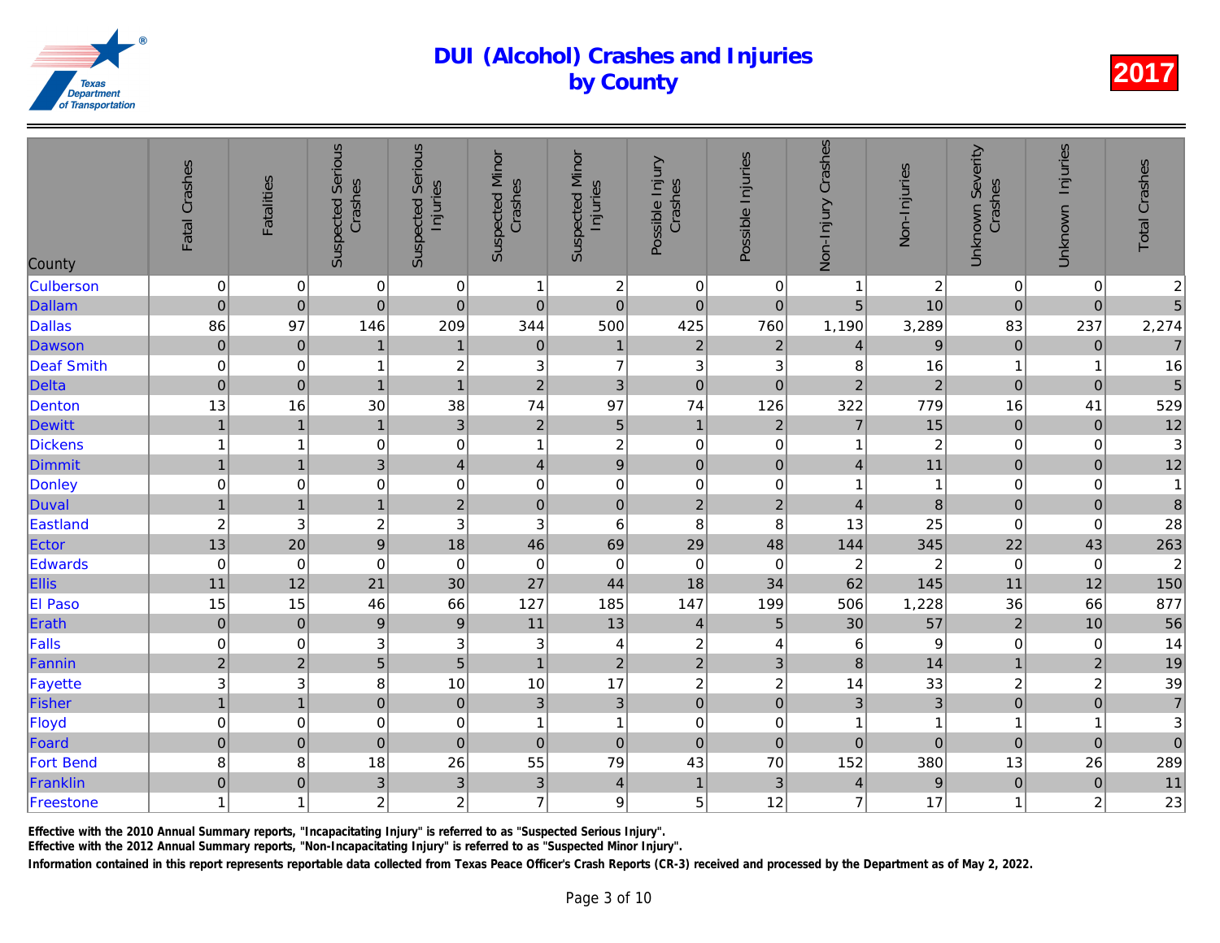| County            | Fatal Crashes           | <b>Fatalities</b> | <b>Suspected Serious</b><br>Crashes | <b>Suspected Serious</b><br>Injuries | <b>Suspected Minor</b><br>Crashes | <b>Suspected Minor</b><br>Injuries | Possible Injury<br>Crashes | Possible Injuries         | Non-Injury Crashes | Non-Injuries                               |
|-------------------|-------------------------|-------------------|-------------------------------------|--------------------------------------|-----------------------------------|------------------------------------|----------------------------|---------------------------|--------------------|--------------------------------------------|
| <b>Culberson</b>  | $\pmb{0}$               | $\mathbf 0$       | $\pmb{0}$                           | $\pmb{0}$                            | 1                                 | $\sqrt{2}$                         | $\pmb{0}$                  | 0                         | 1                  | $\begin{array}{c}\n 2 \\ 10\n \end{array}$ |
| Dallam            | $\mathbf 0$             | $\mathbf 0$       | $\overline{0}$                      | $\mathbf 0$                          | $\mathbf 0$                       | $\mathbf 0$                        | $\pmb{0}$                  | $\mathbf 0$               | 5                  |                                            |
| <b>Dallas</b>     | 86                      | 97                | 146                                 | 209                                  | 344                               | 500                                | 425                        | 760                       | 1,190              | 3,289                                      |
| Dawson            | $\overline{0}$          | $\mathbf 0$       | $\mathbf{1}$                        | $\mathbf{1}$                         | $\pmb{0}$                         | $\mathbf{1}$                       | $\overline{2}$             | $\overline{2}$            | $\overline{4}$     | $\mathbf{9}$                               |
| <b>Deaf Smith</b> | $\mathbf 0$             | 0                 | 1                                   | $\overline{c}$                       | 3                                 | $\overline{7}$                     | $\mathbf 3$                | 3                         | 8                  | 16                                         |
| <b>Delta</b>      | $\pmb{0}$               | $\mathbf 0$       | $\overline{1}$                      | $\overline{1}$                       | $\overline{2}$                    | $\mathfrak{S}$                     | $\mathbf 0$                | $\mathbf 0$               | $\overline{2}$     | $\overline{a}$                             |
| Denton            | 13                      | 16                | 30                                  | 38                                   | 74                                | 97                                 | 74                         | 126                       | 322                | 779                                        |
| <b>Dewitt</b>     | $\overline{1}$          | $\mathbf{1}$      | $\mathbf{1}$                        | $\mathsf 3$                          | $\mathbf 2$                       | $\overline{5}$                     | $\mathbf{1}$               | $\sqrt{2}$                | $\overline{7}$     | 15                                         |
| Dickens           | $\mathbf{1}$            | 1                 | $\pmb{0}$                           | $\mathsf 0$                          | $\overline{1}$                    | $\sqrt{2}$                         | $\pmb{0}$                  | 0                         | 1                  | $\overline{a}$                             |
| Dimmit            | $\overline{1}$          | $\overline{1}$    | $\overline{3}$                      | $\overline{\mathbf{4}}$              | $\overline{\mathbf{4}}$           | $\overline{9}$                     | $\pmb{0}$                  | $\pmb{0}$                 | $\overline{4}$     | 11                                         |
| Donley            | $\mathbf 0$             | $\mathbf 0$       | $\mathbf 0$                         | $\pmb{0}$                            | $\mathbf 0$                       | $\mathbf 0$                        | $\mathbf 0$                | $\mathbf 0$               | 1                  | $\mathbf{1}$                               |
| Duval             | $\mathbf{1}$            | $\overline{1}$    | $\mathbf{1}$                        | $\overline{c}$                       | $\overline{0}$                    | $\mathbf 0$                        | $\overline{2}$             | $\mathbf 2$               | $\overline{4}$     | $\bf{8}$                                   |
| Eastland          | $\overline{\mathbf{c}}$ | 3                 | $\overline{c}$                      | 3                                    | 3                                 | 6                                  | 8                          | 8                         | 13                 | 25                                         |
| Ector             | 13                      | 20                | $\overline{9}$                      | 18                                   | 46                                | 69                                 | 29                         | 48                        | 144                | 345                                        |
| Edwards           | $\pmb{0}$               | $\mathbf 0$       | $\mathbf 0$                         | $\mathbf 0$                          | $\boldsymbol{0}$                  | $\mathbf 0$                        | $\pmb{0}$                  | $\mathbf 0$               | $\overline{c}$     | $\overline{a}$                             |
| Ellis             | 11                      | 12                | 21                                  | 30                                   | 27                                | 44                                 | 18                         | 34                        | 62                 | 145                                        |
| <b>El Paso</b>    | 15                      | 15                | 46                                  | 66                                   | 127                               | 185                                | 147                        | 199                       | 506                | 1,228                                      |
| Erath             | $\pmb{0}$               | $\pmb{0}$         | $\boldsymbol{9}$                    | $\overline{9}$                       | 11                                | 13                                 | $\overline{4}$             | $\sqrt{5}$                | 30                 | 57                                         |
| Falls             | $\pmb{0}$               | 0                 | $\ensuremath{\mathsf{3}}$           | 3                                    | 3                                 | 4                                  | $\boldsymbol{2}$           | 4                         | 6                  | 9                                          |
| Fannin            | $\mathbf{2}$            | $\overline{2}$    | 5                                   | $\overline{5}$                       | $\overline{1}$                    | $\mathbf 2$                        | $\overline{2}$             | 3                         | 8                  | 14                                         |
| Fayette           | 3                       | 3                 | 8                                   | 10                                   | 10                                | 17                                 | $\boldsymbol{2}$           | $\boldsymbol{2}$          | 14                 | 33                                         |
| Fisher            | $\overline{1}$          | $\overline{1}$    | $\overline{0}$                      | $\mathbf 0$                          | 3                                 | $\overline{3}$                     | $\mathbf 0$                | $\mathbf 0$               | 3                  | 3                                          |
| Floyd             | $\mathbf 0$             | 0                 | $\mathbf 0$                         | $\boldsymbol{0}$                     | $\mathbf 1$                       | 1                                  | $\pmb{0}$                  | 0                         | 1                  | $\mathbf{1}$                               |
| Foard             | $\pmb{0}$               | $\pmb{0}$         | $\mathbf 0$                         | $\pmb{0}$                            | $\mathbf 0$                       | $\mathbf 0$                        | $\mathbf 0$                | $\pmb{0}$                 | $\mathbf 0$        | $\overline{0}$                             |
| <b>Fort Bend</b>  | 8                       | 8                 | 18                                  | 26                                   | 55                                | 79                                 | 43                         | 70                        | 152                | 380                                        |
| Franklin          | $\pmb{0}$               | $\pmb{0}$         | $\ensuremath{\mathsf{3}}$           | 3                                    | $\ensuremath{\mathsf{3}}$         | $\overline{4}$                     | $\mathbf{1}$               | $\ensuremath{\mathsf{3}}$ | $\overline{4}$     | $\overline{9}$                             |
| Freestone         | $\mathbf{1}$            | 1                 | $\overline{c}$                      | $\overline{c}$                       | $\overline{7}$                    | 9                                  | 5                          | 12                        | $\overline{7}$     | 17                                         |
|                   |                         |                   |                                     |                                      |                                   |                                    |                            |                           |                    |                                            |

Effective with the 2010 Annual Summary reports, "Incapacitating Injury" is referred to as "Suspected Serious Injury".

Effective with the 2012 Annual Summary reports, "Non-Incapacitating Injury" is referred to as "Suspected Minor Injury".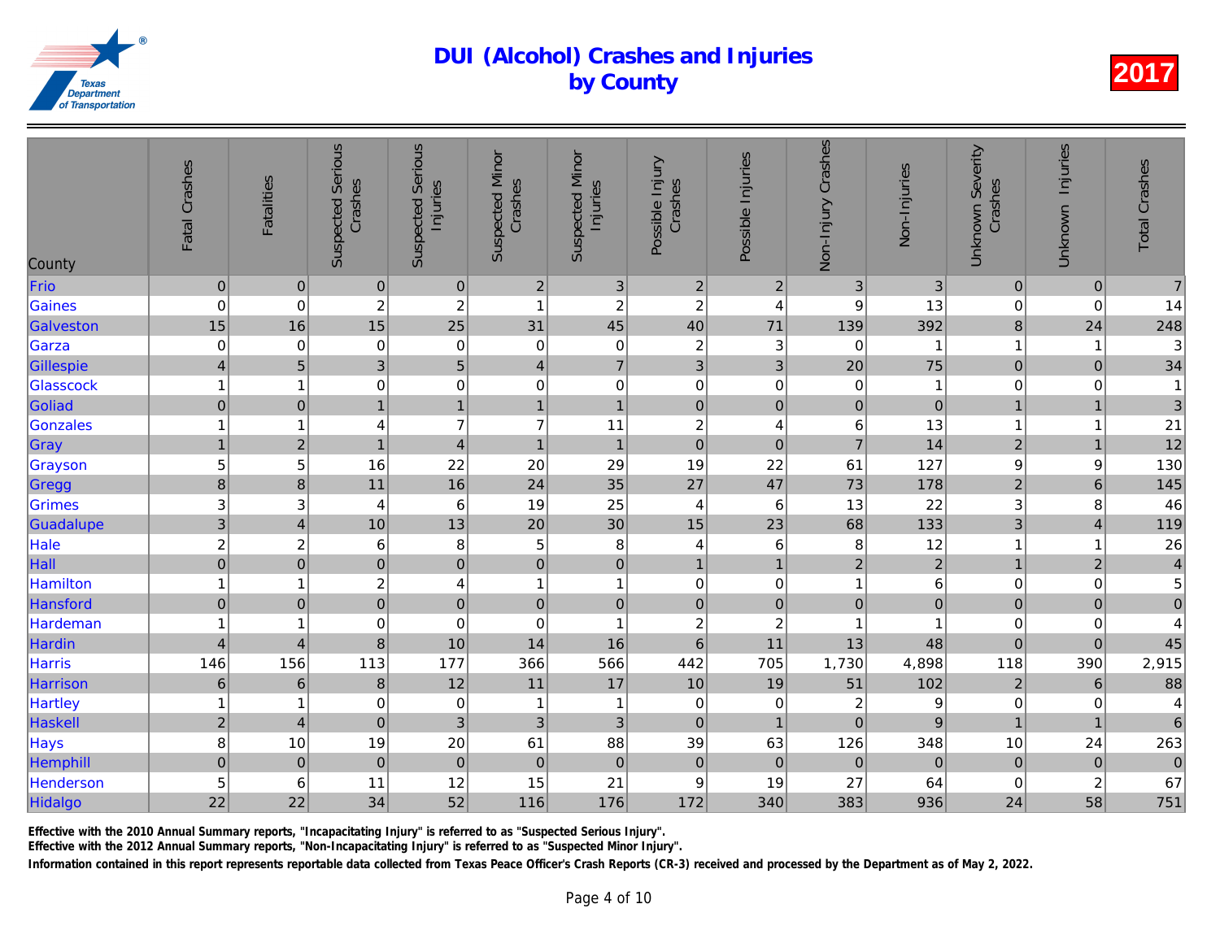| County          | Fatal Crashes  | <b>Fatalities</b> | <b>Suspected Serious</b><br>Crashes | <b>Suspected Serious</b><br>Injuries | <b>Suspected Minor</b><br>Crashes | <b>Suspected Minor</b><br>Injuries | Possible Injury<br>Crashes | Possible Injuries | Non-Injury Crashes | Non-Injuries   |
|-----------------|----------------|-------------------|-------------------------------------|--------------------------------------|-----------------------------------|------------------------------------|----------------------------|-------------------|--------------------|----------------|
| Frio            | $\pmb{0}$      | $\pmb{0}$         | $\pmb{0}$                           | $\pmb{0}$                            | $\mathbf 2$                       | $\ensuremath{\mathsf{3}}$          | $\boldsymbol{2}$           | $\overline{c}$    | 3                  | 3              |
| Gaines          | $\mathbf 0$    | 0                 | $\overline{c}$                      | $\overline{\mathbf{c}}$              | $\overline{\mathbf{1}}$           | $\overline{c}$                     | $\boldsymbol{2}$           | 4                 | 9                  | 13             |
| Galveston       | 15             | 16                | 15                                  | 25                                   | 31                                | 45                                 | 40                         | 71                | 139                | 392            |
| Garza           | $\pmb{0}$      | 0                 | 0                                   | $\mathbf 0$                          | 0                                 | $\pmb{0}$                          | $\boldsymbol{2}$           | $\mathbf{3}$      | 0                  | $\mathbf{1}$   |
| Gillespie       | $\overline{4}$ | $\overline{5}$    | $\mathbf{3}$                        | 5                                    | $\overline{4}$                    | $\overline{7}$                     | 3                          | 3                 | 20                 | 75             |
| Glasscock       | $\mathbf{1}$   | 1                 | $\mathbf 0$                         | $\mathbf 0$                          | $\,0\,$                           | $\mathbf 0$                        | $\pmb{0}$                  | $\pmb{0}$         | $\pmb{0}$          | 1              |
| Goliad          | $\pmb{0}$      | $\mathbf 0$       | 1                                   | $\mathbf{1}$                         | $\mathbf{1}$                      | $\mathbf{1}$                       | $\mathbf 0$                | $\mathbf 0$       | $\mathbf 0$        | $\overline{0}$ |
| Gonzales        | $\mathbf{1}$   | 1                 | 4                                   | $\overline{7}$                       | $\overline{7}$                    | 11                                 | $\boldsymbol{2}$           | 4                 | 6                  | 13             |
| Gray            | $\mathbf{1}$   | $\overline{2}$    | $\mathbf{1}$                        | $\overline{4}$                       | $\mathbf{1}$                      | $\mathbf{1}$                       | $\mathbf 0$                | $\mathbf 0$       | $\overline{7}$     | 14             |
| Grayson         | 5              | 5                 | 16                                  | 22                                   | 20                                | 29                                 | 19                         | 22                | 61                 | 127            |
| Gregg           | $\bf 8$        | $\bf 8$           | 11                                  | 16                                   | 24                                | 35                                 | 27                         | 47                | 73                 | 178            |
| Grimes          | 3              | 3                 | 4                                   | $\,6$                                | 19                                | 25                                 | 4                          | $\,6$             | 13                 | 22             |
| Guadalupe       | $\overline{3}$ | $\overline{4}$    | 10                                  | 13                                   | 20                                | 30                                 | 15                         | 23                | 68                 | 133            |
| Hale            | $\overline{c}$ | $\overline{c}$    | $\,6$                               | 8                                    | 5                                 | $\,8\,$                            | 4                          | 6                 | 8                  | 12             |
| Hall            | $\overline{0}$ | $\pmb{0}$         | $\mathbf 0$                         | $\pmb{0}$                            | $\mathbf 0$                       | $\mathsf{O}\xspace$                | $\mathbf{1}$               | $\mathbf{1}$      | $\overline{c}$     | $\overline{a}$ |
| <b>Hamilton</b> | $\mathbf{1}$   | -1                | $\boldsymbol{2}$                    | $\overline{4}$                       | $\overline{1}$                    | $\mathbf{1}$                       | $\pmb{0}$                  | $\pmb{0}$         | $\mathbf{1}$       | 6              |
| Hansford        | $\mathbf 0$    | $\boldsymbol{0}$  | $\overline{0}$                      | $\mathbf 0$                          | $\mathsf 0$                       | $\mathbf 0$                        | $\pmb{0}$                  | $\pmb{0}$         | $\pmb{0}$          | $\overline{0}$ |
| Hardeman        | $\mathbf{1}$   | 1                 | $\mathbf 0$                         | $\mathbf 0$                          | $\mathbf 0$                       | $\mathbf{1}$                       | $\boldsymbol{2}$           | $\boldsymbol{2}$  | 1                  | 1              |
| Hardin          | $\overline{4}$ | $\overline{4}$    | 8                                   | 10                                   | 14                                | 16                                 | $\overline{6}$             | 11                | 13                 | 48             |
| Harris          | 146            | 156               | 113                                 | 177                                  | 366                               | 566                                | 442                        | 705               | 1,730              | 4,898          |
| Harrison        | $\,6\,$        | $6\phantom{1}6$   | $\bf 8$                             | 12                                   | 11                                | 17                                 | 10                         | 19                | 51                 | 102            |
| Hartley         | $\mathbf{1}$   | 1                 | 0                                   | $\pmb{0}$                            | -1                                | $\mathbf{1}$                       | $\pmb{0}$                  | $\mathbf 0$       | $\overline{c}$     | 9              |
| Haskell         | $\mathbf{2}$   | $\overline{4}$    | $\overline{0}$                      | $\mathsf 3$                          | 3                                 | 3                                  | $\pmb{0}$                  | $\mathbf{1}$      | $\mathbf 0$        | $\overline{9}$ |
| Hays            | 8              | 10                | 19                                  | 20                                   | 61                                | 88                                 | 39                         | 63                | 126                | 348            |
| Hemphill        | $\pmb{0}$      | $\pmb{0}$         | $\pmb{0}$                           | $\mathbf 0$                          | $\pmb{0}$                         | $\mathbf 0$                        | $\pmb{0}$                  | $\pmb{0}$         | $\pmb{0}$          | $\mathbf{0}$   |
| Henderson       | $\overline{5}$ | 6                 | 11                                  | 12                                   | 15                                | 21                                 | $\boldsymbol{9}$           | 19                | 27                 | 64             |
| Hidalgo         | 22             | 22                | 34                                  | 52                                   | 116                               | 176                                | 172                        | 340               | 383                | 936            |
|                 |                |                   |                                     |                                      |                                   |                                    |                            |                   |                    |                |

Effective with the 2010 Annual Summary reports, "Incapacitating Injury" is referred to as "Suspected Serious Injury".

Effective with the 2012 Annual Summary reports, "Non-Incapacitating Injury" is referred to as "Suspected Minor Injury".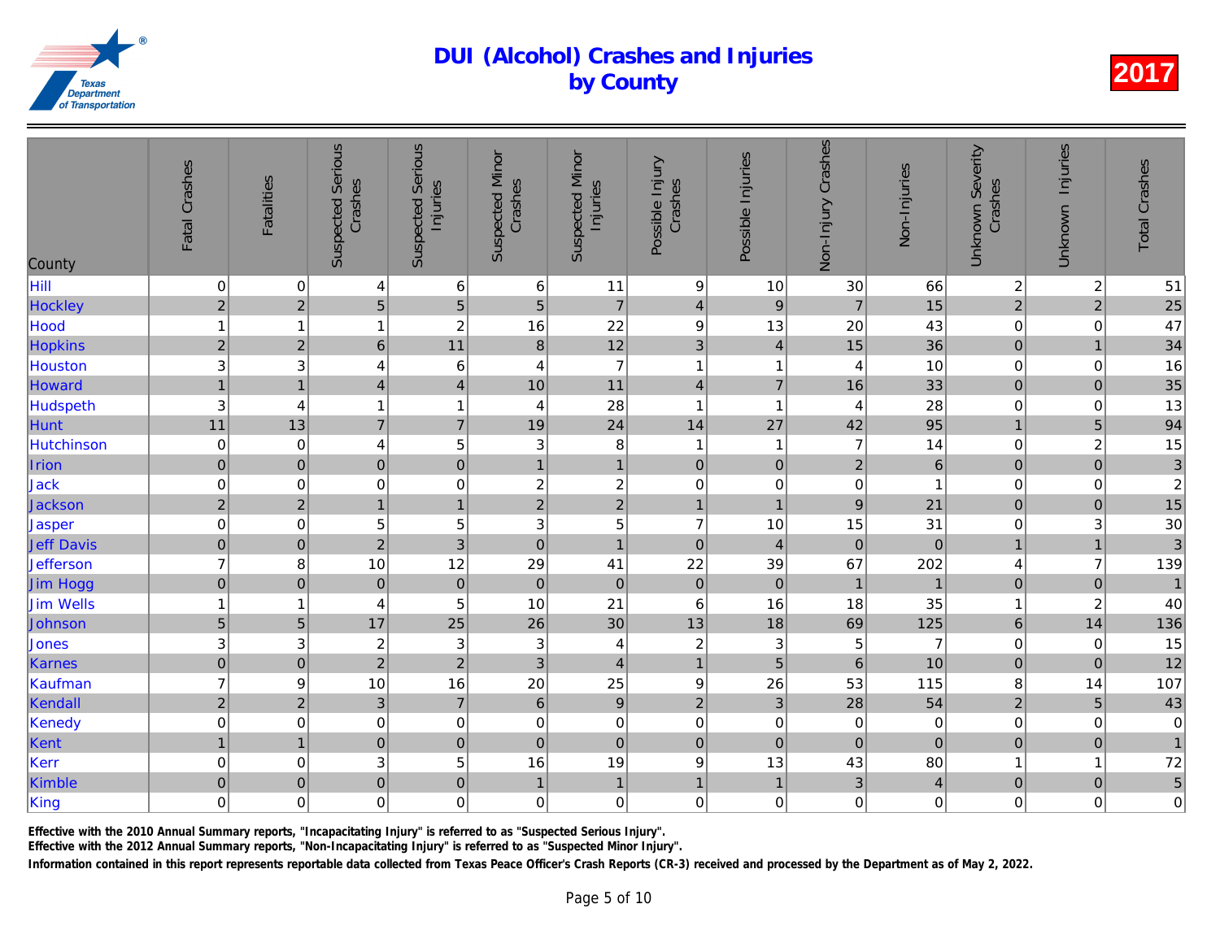| Hill<br>$\pmb{0}$<br>$\,6\,$<br>$\boldsymbol{9}$<br>$\mathbf 0$<br>6<br>11<br>10<br>30<br>4<br>$\overline{a}$<br>5<br>5<br>Hockley<br>$\overline{7}$<br>$\overline{2}$<br>5<br>$\overline{9}$<br>$\overline{7}$<br>$\overline{4}$<br>$\overline{2}$<br>22<br>Hood<br>$\mathbf{1}$<br>16<br>$\boldsymbol{9}$<br>13<br>20<br>$\overline{\mathbf{1}}$<br>1<br>12<br>11<br>$\overline{2}$<br>15<br><b>Hopkins</b><br>$\overline{2}$<br>$6\overline{6}$<br>3<br>8<br>$\overline{4}$<br>3<br>$\overline{7}$<br>$\,6$<br>3<br>$\mathbf{1}$<br>Houston<br>4<br>4<br>$\overline{\mathbf{1}}$<br>4<br>$\mathbf{1}$<br>11<br>$\overline{\mathbf{4}}$<br>Howard<br>10<br>$\overline{7}$<br>16<br>$\overline{4}$<br>$\overline{1}$<br>$\overline{4}$<br>Hudspeth<br>3<br>28<br>$\mathbf{1}$<br>$\mathbf{1}$<br>$\overline{1}$<br>4<br>1<br>4<br>4<br>11<br>Hunt<br>24<br>$\overline{7}$<br>$\overline{7}$<br>13<br>27<br>19<br>14<br>42<br>5<br>Hutchinson<br>$\pmb{0}$<br>$\ensuremath{\mathsf{3}}$<br>8<br>$\overline{7}$<br>0<br>4<br>$\mathbf{1}$<br>$\overline{\mathbf{1}}$<br>$\pmb{0}$<br>$\overline{0}$<br>$\mathbf 0$<br>$\overline{1}$<br>$\overline{2}$<br>Irion<br>$\pmb{0}$<br>$\pmb{0}$<br>$\overline{1}$<br>$\mathbf 0$<br>$\boldsymbol{2}$<br>$\mathsf 0$<br>Jack<br>$\mathbf 0$<br>$\overline{c}$<br>$\mathbf 0$<br>0<br>$\mathbf 0$<br>0<br>$\mathbf 0$<br>$\overline{2}$<br>$\overline{c}$<br>$\mathbf{1}$<br>$\overline{c}$<br>9<br>2 <sup>1</sup><br>$\overline{1}$<br>Jackson<br>$\mathbf{1}$<br>$\overline{1}$<br>5<br>$\pmb{0}$<br>5<br>5<br>$\overline{7}$<br>Jasper<br>3<br>10<br>15<br>0<br>$\overline{3}$<br>$\mathbf 0$<br>$\overline{2}$<br>$\mathbf 0$<br>$\pmb{0}$<br>$\pmb{0}$<br>$\mathbf{1}$<br>$\pmb{0}$<br><b>Jeff Davis</b><br>$\overline{4}$<br>$\overline{7}$<br>12<br>22<br>29<br>41<br>39<br>67<br><b>Jefferson</b><br>8<br>10<br>$\overline{0}$<br>$\mathbf{0}$<br>$\mathbf 0$<br>$\mathbf 0$<br>$\mathbf 0$<br>$\mathbf 0$<br>$\pmb{0}$<br><b>Jim Hogg</b><br>$\mathbf 0$<br>$\overline{1}$<br>5<br>21<br><b>Jim Wells</b><br>$\mathbf{1}$<br>10<br>$\,6$<br>16<br>18<br>1<br>4<br>30<br>25<br>69<br>Johnson<br>$\sqrt{5}$<br>26<br>13<br>18<br>5<br>17<br>3<br>3<br>$\boldsymbol{2}$<br>3<br>$\ensuremath{\mathsf{3}}$<br>$\boldsymbol{2}$<br>5<br>Jones<br>$\mathbf{3}$<br>4<br>$\overline{2}$<br>$\overline{2}$<br>$\mathbf 0$<br>$\overline{5}$<br>6<br>Karnes<br>3<br>$\overline{4}$<br>$\mathbf 0$<br>$\mathbf{1}$<br>$\overline{7}$<br>16<br>25<br>26<br>Kaufman<br>10<br>20<br>$\boldsymbol{9}$<br>53<br>9<br>$\overline{2}$<br>$\overline{3}$<br>$\overline{7}$<br>$\boldsymbol{9}$<br>$\overline{3}$<br>$\overline{2}$<br>2 <sup>1</sup><br>28<br>$\,6\,$<br>Kendall<br>Kenedy<br>$\mathbf 0$<br>$\mathbf 0$<br>$\mathbf 0$<br>$\pmb{0}$<br>$\pmb{0}$<br>$\,0\,$<br>$\,0\,$<br>$\pmb{0}$<br>0<br>$\pmb{0}$<br>Kent<br>$\mathbf{1}$<br>$\mathbf 0$<br>$\mathbf 0$<br>$\mathbf 0$<br>$\mathbf 0$<br>$\pmb{0}$<br>$\mathbf 0$<br>$\overline{1}$<br>Kerr<br>$\mathbf 0$<br>5<br>19<br>$\ensuremath{\mathsf{3}}$<br>16<br>$\boldsymbol{9}$<br>13<br>43<br>$\mathbf 0$<br>$\pmb{0}$<br>Kimble<br>$\mathbf 0$<br>$\mathbf 0$<br>3<br>$\pmb{0}$<br>$\mathbf{1}$<br>$\mathbf{1}$<br>$\mathbf{1}$<br>$\overline{1}$<br>$\mathbf 0$<br>$\mathbf 0$<br>$\mathbf 0$<br>$\mathsf 0$<br>$\mathbf 0$<br>0<br>$\mathbf 0$ | County | Fatal Crashes       | <b>Fatalities</b> | <b>Suspected Serious</b><br>Crashes | <b>Suspected Serious</b><br>Injuries | <b>Suspected Minor</b><br>Crashes | <b>Suspected Minor</b><br>Injuries | Possible Injury<br>Crashes | Possible Injuries | Non-Injury Crashes | Non-Injuries   |
|---------------------------------------------------------------------------------------------------------------------------------------------------------------------------------------------------------------------------------------------------------------------------------------------------------------------------------------------------------------------------------------------------------------------------------------------------------------------------------------------------------------------------------------------------------------------------------------------------------------------------------------------------------------------------------------------------------------------------------------------------------------------------------------------------------------------------------------------------------------------------------------------------------------------------------------------------------------------------------------------------------------------------------------------------------------------------------------------------------------------------------------------------------------------------------------------------------------------------------------------------------------------------------------------------------------------------------------------------------------------------------------------------------------------------------------------------------------------------------------------------------------------------------------------------------------------------------------------------------------------------------------------------------------------------------------------------------------------------------------------------------------------------------------------------------------------------------------------------------------------------------------------------------------------------------------------------------------------------------------------------------------------------------------------------------------------------------------------------------------------------------------------------------------------------------------------------------------------------------------------------------------------------------------------------------------------------------------------------------------------------------------------------------------------------------------------------------------------------------------------------------------------------------------------------------------------------------------------------------------------------------------------------------------------------------------------------------------------------------------------------------------------------------------------------------------------------------------------------------------------------------------------------------------------------------------------------------------------------------------------------------------------------------------------------------------------------------------------------------------------------------------------------------------------------------------------------------------------------------------------------------------------------------------------------------------------------------------------------|--------|---------------------|-------------------|-------------------------------------|--------------------------------------|-----------------------------------|------------------------------------|----------------------------|-------------------|--------------------|----------------|
|                                                                                                                                                                                                                                                                                                                                                                                                                                                                                                                                                                                                                                                                                                                                                                                                                                                                                                                                                                                                                                                                                                                                                                                                                                                                                                                                                                                                                                                                                                                                                                                                                                                                                                                                                                                                                                                                                                                                                                                                                                                                                                                                                                                                                                                                                                                                                                                                                                                                                                                                                                                                                                                                                                                                                                                                                                                                                                                                                                                                                                                                                                                                                                                                                                                                                                                                                   |        |                     |                   |                                     |                                      |                                   |                                    |                            |                   |                    | 66             |
|                                                                                                                                                                                                                                                                                                                                                                                                                                                                                                                                                                                                                                                                                                                                                                                                                                                                                                                                                                                                                                                                                                                                                                                                                                                                                                                                                                                                                                                                                                                                                                                                                                                                                                                                                                                                                                                                                                                                                                                                                                                                                                                                                                                                                                                                                                                                                                                                                                                                                                                                                                                                                                                                                                                                                                                                                                                                                                                                                                                                                                                                                                                                                                                                                                                                                                                                                   |        |                     |                   |                                     |                                      |                                   |                                    |                            |                   |                    | 15             |
|                                                                                                                                                                                                                                                                                                                                                                                                                                                                                                                                                                                                                                                                                                                                                                                                                                                                                                                                                                                                                                                                                                                                                                                                                                                                                                                                                                                                                                                                                                                                                                                                                                                                                                                                                                                                                                                                                                                                                                                                                                                                                                                                                                                                                                                                                                                                                                                                                                                                                                                                                                                                                                                                                                                                                                                                                                                                                                                                                                                                                                                                                                                                                                                                                                                                                                                                                   |        |                     |                   |                                     |                                      |                                   |                                    |                            |                   |                    | 43             |
|                                                                                                                                                                                                                                                                                                                                                                                                                                                                                                                                                                                                                                                                                                                                                                                                                                                                                                                                                                                                                                                                                                                                                                                                                                                                                                                                                                                                                                                                                                                                                                                                                                                                                                                                                                                                                                                                                                                                                                                                                                                                                                                                                                                                                                                                                                                                                                                                                                                                                                                                                                                                                                                                                                                                                                                                                                                                                                                                                                                                                                                                                                                                                                                                                                                                                                                                                   |        |                     |                   |                                     |                                      |                                   |                                    |                            |                   |                    | 36             |
|                                                                                                                                                                                                                                                                                                                                                                                                                                                                                                                                                                                                                                                                                                                                                                                                                                                                                                                                                                                                                                                                                                                                                                                                                                                                                                                                                                                                                                                                                                                                                                                                                                                                                                                                                                                                                                                                                                                                                                                                                                                                                                                                                                                                                                                                                                                                                                                                                                                                                                                                                                                                                                                                                                                                                                                                                                                                                                                                                                                                                                                                                                                                                                                                                                                                                                                                                   |        |                     |                   |                                     |                                      |                                   |                                    |                            |                   |                    | 10             |
|                                                                                                                                                                                                                                                                                                                                                                                                                                                                                                                                                                                                                                                                                                                                                                                                                                                                                                                                                                                                                                                                                                                                                                                                                                                                                                                                                                                                                                                                                                                                                                                                                                                                                                                                                                                                                                                                                                                                                                                                                                                                                                                                                                                                                                                                                                                                                                                                                                                                                                                                                                                                                                                                                                                                                                                                                                                                                                                                                                                                                                                                                                                                                                                                                                                                                                                                                   |        |                     |                   |                                     |                                      |                                   |                                    |                            |                   |                    | 33             |
|                                                                                                                                                                                                                                                                                                                                                                                                                                                                                                                                                                                                                                                                                                                                                                                                                                                                                                                                                                                                                                                                                                                                                                                                                                                                                                                                                                                                                                                                                                                                                                                                                                                                                                                                                                                                                                                                                                                                                                                                                                                                                                                                                                                                                                                                                                                                                                                                                                                                                                                                                                                                                                                                                                                                                                                                                                                                                                                                                                                                                                                                                                                                                                                                                                                                                                                                                   |        |                     |                   |                                     |                                      |                                   |                                    |                            |                   |                    | 28             |
|                                                                                                                                                                                                                                                                                                                                                                                                                                                                                                                                                                                                                                                                                                                                                                                                                                                                                                                                                                                                                                                                                                                                                                                                                                                                                                                                                                                                                                                                                                                                                                                                                                                                                                                                                                                                                                                                                                                                                                                                                                                                                                                                                                                                                                                                                                                                                                                                                                                                                                                                                                                                                                                                                                                                                                                                                                                                                                                                                                                                                                                                                                                                                                                                                                                                                                                                                   |        |                     |                   |                                     |                                      |                                   |                                    |                            |                   |                    | 95             |
|                                                                                                                                                                                                                                                                                                                                                                                                                                                                                                                                                                                                                                                                                                                                                                                                                                                                                                                                                                                                                                                                                                                                                                                                                                                                                                                                                                                                                                                                                                                                                                                                                                                                                                                                                                                                                                                                                                                                                                                                                                                                                                                                                                                                                                                                                                                                                                                                                                                                                                                                                                                                                                                                                                                                                                                                                                                                                                                                                                                                                                                                                                                                                                                                                                                                                                                                                   |        |                     |                   |                                     |                                      |                                   |                                    |                            |                   |                    | 14             |
|                                                                                                                                                                                                                                                                                                                                                                                                                                                                                                                                                                                                                                                                                                                                                                                                                                                                                                                                                                                                                                                                                                                                                                                                                                                                                                                                                                                                                                                                                                                                                                                                                                                                                                                                                                                                                                                                                                                                                                                                                                                                                                                                                                                                                                                                                                                                                                                                                                                                                                                                                                                                                                                                                                                                                                                                                                                                                                                                                                                                                                                                                                                                                                                                                                                                                                                                                   |        |                     |                   |                                     |                                      |                                   |                                    |                            |                   |                    | $\overline{6}$ |
|                                                                                                                                                                                                                                                                                                                                                                                                                                                                                                                                                                                                                                                                                                                                                                                                                                                                                                                                                                                                                                                                                                                                                                                                                                                                                                                                                                                                                                                                                                                                                                                                                                                                                                                                                                                                                                                                                                                                                                                                                                                                                                                                                                                                                                                                                                                                                                                                                                                                                                                                                                                                                                                                                                                                                                                                                                                                                                                                                                                                                                                                                                                                                                                                                                                                                                                                                   |        |                     |                   |                                     |                                      |                                   |                                    |                            |                   |                    | $\overline{1}$ |
|                                                                                                                                                                                                                                                                                                                                                                                                                                                                                                                                                                                                                                                                                                                                                                                                                                                                                                                                                                                                                                                                                                                                                                                                                                                                                                                                                                                                                                                                                                                                                                                                                                                                                                                                                                                                                                                                                                                                                                                                                                                                                                                                                                                                                                                                                                                                                                                                                                                                                                                                                                                                                                                                                                                                                                                                                                                                                                                                                                                                                                                                                                                                                                                                                                                                                                                                                   |        |                     |                   |                                     |                                      |                                   |                                    |                            |                   |                    | 21             |
|                                                                                                                                                                                                                                                                                                                                                                                                                                                                                                                                                                                                                                                                                                                                                                                                                                                                                                                                                                                                                                                                                                                                                                                                                                                                                                                                                                                                                                                                                                                                                                                                                                                                                                                                                                                                                                                                                                                                                                                                                                                                                                                                                                                                                                                                                                                                                                                                                                                                                                                                                                                                                                                                                                                                                                                                                                                                                                                                                                                                                                                                                                                                                                                                                                                                                                                                                   |        |                     |                   |                                     |                                      |                                   |                                    |                            |                   |                    | 31             |
|                                                                                                                                                                                                                                                                                                                                                                                                                                                                                                                                                                                                                                                                                                                                                                                                                                                                                                                                                                                                                                                                                                                                                                                                                                                                                                                                                                                                                                                                                                                                                                                                                                                                                                                                                                                                                                                                                                                                                                                                                                                                                                                                                                                                                                                                                                                                                                                                                                                                                                                                                                                                                                                                                                                                                                                                                                                                                                                                                                                                                                                                                                                                                                                                                                                                                                                                                   |        |                     |                   |                                     |                                      |                                   |                                    |                            |                   |                    | $\overline{O}$ |
|                                                                                                                                                                                                                                                                                                                                                                                                                                                                                                                                                                                                                                                                                                                                                                                                                                                                                                                                                                                                                                                                                                                                                                                                                                                                                                                                                                                                                                                                                                                                                                                                                                                                                                                                                                                                                                                                                                                                                                                                                                                                                                                                                                                                                                                                                                                                                                                                                                                                                                                                                                                                                                                                                                                                                                                                                                                                                                                                                                                                                                                                                                                                                                                                                                                                                                                                                   |        |                     |                   |                                     |                                      |                                   |                                    |                            |                   |                    | 202            |
|                                                                                                                                                                                                                                                                                                                                                                                                                                                                                                                                                                                                                                                                                                                                                                                                                                                                                                                                                                                                                                                                                                                                                                                                                                                                                                                                                                                                                                                                                                                                                                                                                                                                                                                                                                                                                                                                                                                                                                                                                                                                                                                                                                                                                                                                                                                                                                                                                                                                                                                                                                                                                                                                                                                                                                                                                                                                                                                                                                                                                                                                                                                                                                                                                                                                                                                                                   |        |                     |                   |                                     |                                      |                                   |                                    |                            |                   |                    | $\overline{1}$ |
|                                                                                                                                                                                                                                                                                                                                                                                                                                                                                                                                                                                                                                                                                                                                                                                                                                                                                                                                                                                                                                                                                                                                                                                                                                                                                                                                                                                                                                                                                                                                                                                                                                                                                                                                                                                                                                                                                                                                                                                                                                                                                                                                                                                                                                                                                                                                                                                                                                                                                                                                                                                                                                                                                                                                                                                                                                                                                                                                                                                                                                                                                                                                                                                                                                                                                                                                                   |        |                     |                   |                                     |                                      |                                   |                                    |                            |                   |                    | 35             |
|                                                                                                                                                                                                                                                                                                                                                                                                                                                                                                                                                                                                                                                                                                                                                                                                                                                                                                                                                                                                                                                                                                                                                                                                                                                                                                                                                                                                                                                                                                                                                                                                                                                                                                                                                                                                                                                                                                                                                                                                                                                                                                                                                                                                                                                                                                                                                                                                                                                                                                                                                                                                                                                                                                                                                                                                                                                                                                                                                                                                                                                                                                                                                                                                                                                                                                                                                   |        |                     |                   |                                     |                                      |                                   |                                    |                            |                   |                    | 125            |
|                                                                                                                                                                                                                                                                                                                                                                                                                                                                                                                                                                                                                                                                                                                                                                                                                                                                                                                                                                                                                                                                                                                                                                                                                                                                                                                                                                                                                                                                                                                                                                                                                                                                                                                                                                                                                                                                                                                                                                                                                                                                                                                                                                                                                                                                                                                                                                                                                                                                                                                                                                                                                                                                                                                                                                                                                                                                                                                                                                                                                                                                                                                                                                                                                                                                                                                                                   |        |                     |                   |                                     |                                      |                                   |                                    |                            |                   |                    | $\overline{7}$ |
|                                                                                                                                                                                                                                                                                                                                                                                                                                                                                                                                                                                                                                                                                                                                                                                                                                                                                                                                                                                                                                                                                                                                                                                                                                                                                                                                                                                                                                                                                                                                                                                                                                                                                                                                                                                                                                                                                                                                                                                                                                                                                                                                                                                                                                                                                                                                                                                                                                                                                                                                                                                                                                                                                                                                                                                                                                                                                                                                                                                                                                                                                                                                                                                                                                                                                                                                                   |        |                     |                   |                                     |                                      |                                   |                                    |                            |                   |                    | 10             |
|                                                                                                                                                                                                                                                                                                                                                                                                                                                                                                                                                                                                                                                                                                                                                                                                                                                                                                                                                                                                                                                                                                                                                                                                                                                                                                                                                                                                                                                                                                                                                                                                                                                                                                                                                                                                                                                                                                                                                                                                                                                                                                                                                                                                                                                                                                                                                                                                                                                                                                                                                                                                                                                                                                                                                                                                                                                                                                                                                                                                                                                                                                                                                                                                                                                                                                                                                   |        |                     |                   |                                     |                                      |                                   |                                    |                            |                   |                    | 115            |
|                                                                                                                                                                                                                                                                                                                                                                                                                                                                                                                                                                                                                                                                                                                                                                                                                                                                                                                                                                                                                                                                                                                                                                                                                                                                                                                                                                                                                                                                                                                                                                                                                                                                                                                                                                                                                                                                                                                                                                                                                                                                                                                                                                                                                                                                                                                                                                                                                                                                                                                                                                                                                                                                                                                                                                                                                                                                                                                                                                                                                                                                                                                                                                                                                                                                                                                                                   |        |                     |                   |                                     |                                      |                                   |                                    |                            |                   |                    | 54             |
|                                                                                                                                                                                                                                                                                                                                                                                                                                                                                                                                                                                                                                                                                                                                                                                                                                                                                                                                                                                                                                                                                                                                                                                                                                                                                                                                                                                                                                                                                                                                                                                                                                                                                                                                                                                                                                                                                                                                                                                                                                                                                                                                                                                                                                                                                                                                                                                                                                                                                                                                                                                                                                                                                                                                                                                                                                                                                                                                                                                                                                                                                                                                                                                                                                                                                                                                                   |        |                     |                   |                                     |                                      |                                   |                                    |                            |                   |                    | $\overline{0}$ |
|                                                                                                                                                                                                                                                                                                                                                                                                                                                                                                                                                                                                                                                                                                                                                                                                                                                                                                                                                                                                                                                                                                                                                                                                                                                                                                                                                                                                                                                                                                                                                                                                                                                                                                                                                                                                                                                                                                                                                                                                                                                                                                                                                                                                                                                                                                                                                                                                                                                                                                                                                                                                                                                                                                                                                                                                                                                                                                                                                                                                                                                                                                                                                                                                                                                                                                                                                   |        |                     |                   |                                     |                                      |                                   |                                    |                            |                   |                    | $\overline{0}$ |
|                                                                                                                                                                                                                                                                                                                                                                                                                                                                                                                                                                                                                                                                                                                                                                                                                                                                                                                                                                                                                                                                                                                                                                                                                                                                                                                                                                                                                                                                                                                                                                                                                                                                                                                                                                                                                                                                                                                                                                                                                                                                                                                                                                                                                                                                                                                                                                                                                                                                                                                                                                                                                                                                                                                                                                                                                                                                                                                                                                                                                                                                                                                                                                                                                                                                                                                                                   |        |                     |                   |                                     |                                      |                                   |                                    |                            |                   |                    | 80             |
|                                                                                                                                                                                                                                                                                                                                                                                                                                                                                                                                                                                                                                                                                                                                                                                                                                                                                                                                                                                                                                                                                                                                                                                                                                                                                                                                                                                                                                                                                                                                                                                                                                                                                                                                                                                                                                                                                                                                                                                                                                                                                                                                                                                                                                                                                                                                                                                                                                                                                                                                                                                                                                                                                                                                                                                                                                                                                                                                                                                                                                                                                                                                                                                                                                                                                                                                                   |        |                     |                   |                                     |                                      |                                   |                                    |                            |                   |                    | $\overline{4}$ |
|                                                                                                                                                                                                                                                                                                                                                                                                                                                                                                                                                                                                                                                                                                                                                                                                                                                                                                                                                                                                                                                                                                                                                                                                                                                                                                                                                                                                                                                                                                                                                                                                                                                                                                                                                                                                                                                                                                                                                                                                                                                                                                                                                                                                                                                                                                                                                                                                                                                                                                                                                                                                                                                                                                                                                                                                                                                                                                                                                                                                                                                                                                                                                                                                                                                                                                                                                   | King   | $\mathsf{O}\xspace$ |                   |                                     |                                      |                                   | $\mathbf 0$                        |                            |                   |                    | $\mathbf 0$    |

Effective with the 2010 Annual Summary reports, "Incapacitating Injury" is referred to as "Suspected Serious Injury".

Effective with the 2012 Annual Summary reports, "Non-Incapacitating Injury" is referred to as "Suspected Minor Injury".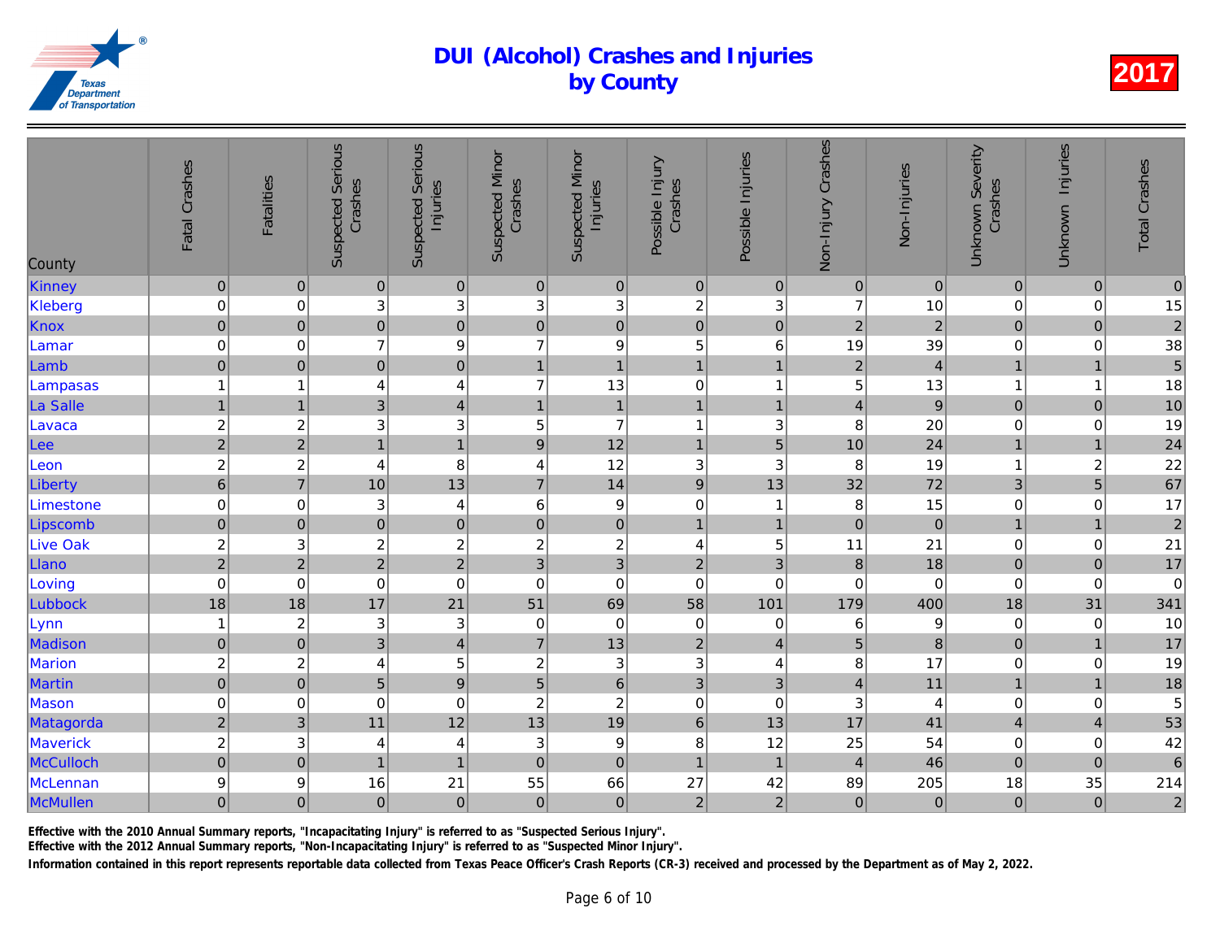| County          | Fatal Crashes           | <b>Fatalities</b>         | <b>Suspected Serious</b><br>Crashes | <b>Suspected Serious</b><br>Injuries | <b>Suspected Minor</b><br>Crashes | <b>Suspected Minor</b><br>Injuries | Possible Injury<br>Crashes | Possible Injuries         | Non-Injury Crashes      | Non-Injuries   |
|-----------------|-------------------------|---------------------------|-------------------------------------|--------------------------------------|-----------------------------------|------------------------------------|----------------------------|---------------------------|-------------------------|----------------|
| Kinney          | $\pmb{0}$               | $\pmb{0}$                 | $\pmb{0}$                           | $\pmb{0}$                            | $\pmb{0}$                         | $\pmb{0}$                          | $\pmb{0}$                  | $\mathbf 0$               | $\pmb{0}$               | $\overline{0}$ |
| Kleberg         | $\pmb{0}$               | $\mathbf 0$               | 3                                   | 3                                    | $\ensuremath{\mathsf{3}}$         | 3                                  | $\boldsymbol{2}$           | 3                         | $\overline{7}$          | 10             |
| Knox            | $\overline{0}$          | $\pmb{0}$                 | $\overline{0}$                      | $\pmb{0}$                            | $\pmb{0}$                         | $\overline{0}$                     | $\mathbf 0$                | $\pmb{0}$                 | $\overline{2}$          | $\overline{a}$ |
| Lamar           | $\mathbf 0$             | 0                         | $\overline{7}$                      | 9                                    | $\overline{7}$                    | $\boldsymbol{9}$                   | 5                          | 6                         | 19                      | 39             |
| Lamb            | $\pmb{0}$               | $\pmb{0}$                 | $\mathbf 0$                         | $\mathbf 0$                          | $\mathbf{1}$                      | $\overline{1}$                     | $\mathbf{1}$               | $\overline{1}$            | $\overline{c}$          | $\overline{4}$ |
| Lampasas        | $\mathbf{1}$            | -1                        | 4                                   | $\overline{4}$                       | $\overline{7}$                    | 13                                 | $\pmb{0}$                  | $\overline{\mathbf{1}}$   | 5                       | 13             |
| La Salle        | $\mathbf{1}$            | $\overline{1}$            | $\overline{3}$                      | $\overline{a}$                       | $\mathbf{1}$                      | $\mathbf{1}$                       | $\mathbf{1}$               | $\overline{1}$            | $\overline{\mathbf{4}}$ | $\overline{9}$ |
| Lavaca          | $\frac{2}{2}$           | $\boldsymbol{2}$          | 3                                   | 3                                    | 5                                 | $\overline{7}$                     | $\mathbf{1}$               | $\ensuremath{\mathsf{3}}$ | 8                       | 20             |
| Lee             |                         | $\overline{2}$            | $\mathbf{1}$                        | $\overline{1}$                       | $\mathsf g$                       | 12                                 | $\mathbf{1}$               | 5                         | 10                      | 24             |
| Leon            | $\overline{c}$          | $\overline{\mathbf{c}}$   | $\overline{\mathbf{r}}$             | 8                                    | 4                                 | 12                                 | $\ensuremath{\mathsf{3}}$  | $\mathbf{3}$              | 8                       | 19             |
| Liberty         | $\overline{6}$          | $\overline{7}$            | 10                                  | 13                                   | $\overline{7}$                    | 14                                 | $\overline{9}$             | 13                        | 32                      | 72             |
| Limestone       | $\pmb{0}$               | $\mathbf 0$               | 3                                   | $\overline{4}$                       | $\,6$                             | $\boldsymbol{9}$                   | $\boldsymbol{0}$           | $\overline{\mathbf{1}}$   | 8                       | 15             |
| Lipscomb        | $\mathbf 0$             | $\pmb{0}$                 | $\mathbf 0$                         | $\mathbf 0$                          | $\pmb{0}$                         | $\mathbf 0$                        | $\mathbf{1}$               | $\mathbf{1}$              | $\pmb{0}$               | $\overline{O}$ |
| <b>Live Oak</b> | $\overline{\mathbf{c}}$ | 3                         | $\boldsymbol{2}$                    | $\overline{c}$                       | $\boldsymbol{2}$                  | $\boldsymbol{2}$                   | 4                          | 5                         | 11                      | 21             |
| Llano           | $\overline{a}$          | $\overline{2}$            | $\overline{2}$                      | $\overline{a}$                       | 3                                 | $\overline{3}$                     | $\sqrt{2}$                 | 3                         | $\bf 8$                 | 18             |
| Loving          | $\mathbf 0$             | $\mathbf 0$               | $\pmb{0}$                           | $\pmb{0}$                            | $\mathbf 0$                       | $\mathbf 0$                        | $\mathbf 0$                | $\mathbf 0$               | $\mathbf 0$             | $\overline{0}$ |
| Lubbock         | 18                      | 18                        | 17                                  | 21                                   | 51                                | 69                                 | 58                         | 101                       | 179                     | 400            |
| Lynn            | $\mathbf{1}$            | $\boldsymbol{2}$          | $\ensuremath{\mathsf{3}}$           | 3                                    | 0                                 | $\pmb{0}$                          | $\pmb{0}$                  | $\mathbf 0$               | 6                       | $\overline{9}$ |
| Madison         | $\mathbf 0$             | $\pmb{0}$                 | $\overline{3}$                      | $\overline{4}$                       | $\overline{7}$                    | 13                                 | $\overline{2}$             | $\overline{4}$            | 5                       | $\bf{8}$       |
| Marion          | $\overline{\mathbf{c}}$ | $\boldsymbol{2}$          | 4                                   | 5                                    | $\boldsymbol{2}$                  | $\ensuremath{\mathsf{3}}$          | $\sqrt{3}$                 | 4                         | 8                       | 17             |
| <b>Martin</b>   | $\overline{0}$          | $\pmb{0}$                 | 5                                   | $\overline{9}$                       | $\overline{5}$                    | 6                                  | $\overline{3}$             | 3                         | $\overline{4}$          | 11             |
| Mason           | $\mathsf 0$             | 0                         | $\mathbf 0$                         | $\mathbf 0$                          | $\boldsymbol{2}$                  | $\overline{c}$                     | $\mathbf 0$                | $\mathbf 0$               | 3                       | $\overline{4}$ |
| Matagorda       | $\overline{2}$          | $\mathbf{3}$              | 11                                  | 12                                   | 13                                | 19                                 | $\,6\,$                    | 13                        | 17                      | 41             |
| Maverick        | $\overline{c}$          | $\ensuremath{\mathsf{3}}$ | 4                                   | 4                                    | $\ensuremath{\mathsf{3}}$         | $\boldsymbol{9}$                   | $\bf 8$                    | 12                        | 25                      | 54             |
| McCulloch       | $\overline{0}$          | $\pmb{0}$                 | $\overline{1}$                      | $\mathbf{1}$                         | $\mathbf 0$                       | $\mathsf{O}\xspace$                | $\mathbf{1}$               | $\mathbf{1}$              | $\overline{4}$          | 46             |
| McLennan        | $\boldsymbol{9}$        | 9                         | 16                                  | 21                                   | 55                                | 66                                 | 27                         | 42                        | 89                      | 205            |
| McMullen        | $\overline{0}$          | $\mathbf 0$               | $\mathbf 0$                         | $\mathbf 0$                          | $\pmb{0}$                         | $\pmb{0}$                          | $\sqrt{2}$                 | $\overline{c}$            | $\pmb{0}$               | $\overline{0}$ |
|                 |                         |                           |                                     |                                      |                                   |                                    |                            |                           |                         |                |

Effective with the 2010 Annual Summary reports, "Incapacitating Injury" is referred to as "Suspected Serious Injury".

Effective with the 2012 Annual Summary reports, "Non-Incapacitating Injury" is referred to as "Suspected Minor Injury".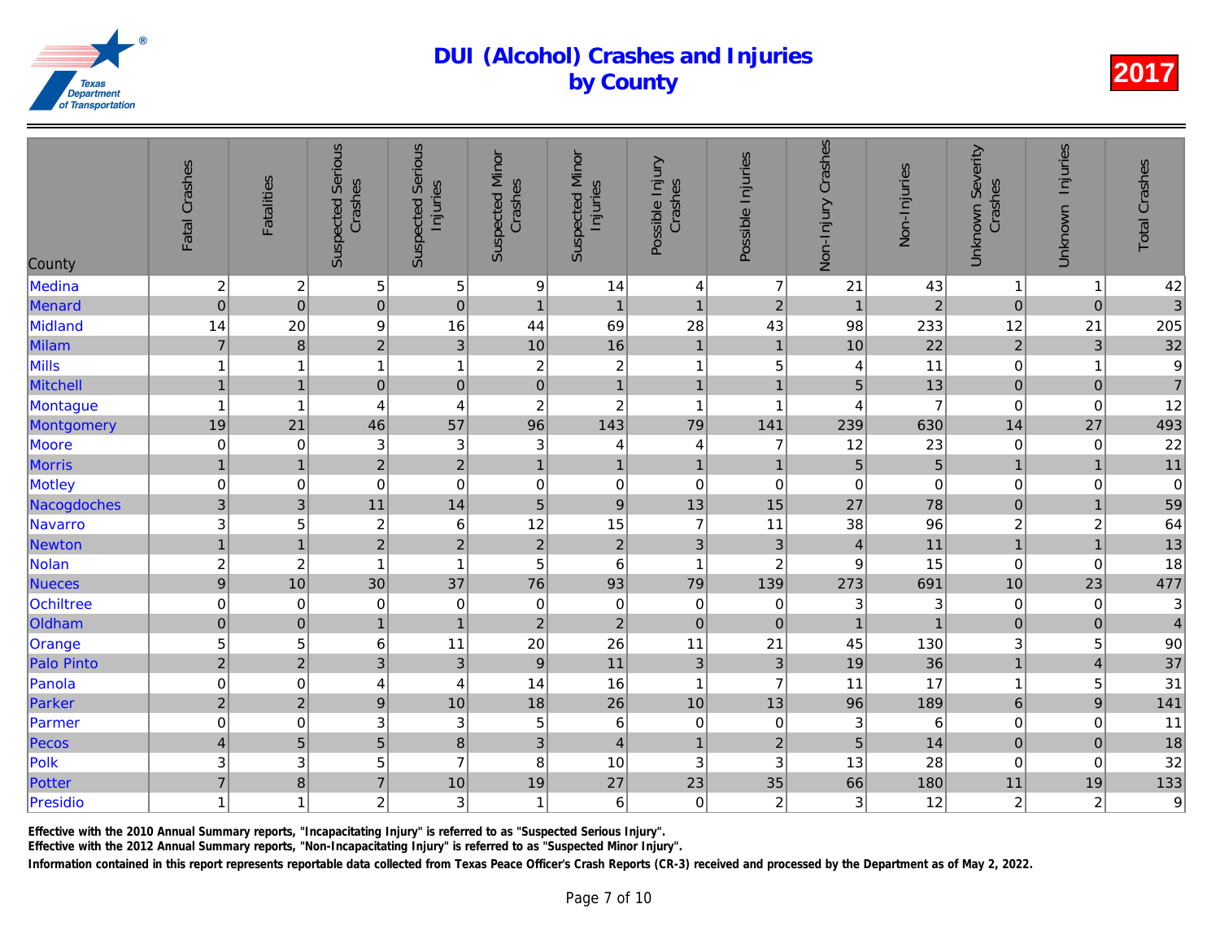| County            | Fatal Crashes             | <b>Fatalities</b>       | <b>Suspected Serious</b><br>Crashes | <b>Suspected Serious</b><br>Injuries | <b>Suspected Minor</b><br>Crashes | <b>Suspected Minor</b><br>Injuries | Possible Injury<br>Crashes | Possible Injuries       | Non-Injury Crashes | Non-Injuries    |
|-------------------|---------------------------|-------------------------|-------------------------------------|--------------------------------------|-----------------------------------|------------------------------------|----------------------------|-------------------------|--------------------|-----------------|
| Medina            | $\boldsymbol{2}$          | $\boldsymbol{2}$        | $\sqrt{5}$                          | $\mathbf 5$                          | 9                                 | 14                                 | $\overline{\mathbf{4}}$    | $\overline{7}$          | 21                 | 43              |
| Menard            | $\overline{0}$            | $\boldsymbol{0}$        | $\overline{0}$                      | $\pmb{0}$                            | $\mathbf{1}$                      | $\overline{1}$                     | $\mathbf{1}$               | $\overline{2}$          | $\overline{1}$     | $\overline{a}$  |
| Midland           | 14                        | 20                      | $\boldsymbol{9}$                    | 16                                   | 44                                | 69                                 | 28                         | 43                      | 98                 | 233             |
| Milam             | $\overline{7}$            | $\bf 8$                 | $\overline{2}$                      | $\overline{3}$                       | 10                                | 16                                 | $\mathbf{1}$               | $\mathbf{1}$            | 10                 | 22              |
| Mills             | $\mathbf{1}$              | 1                       | 1                                   | $\mathbf{1}$                         | $\boldsymbol{2}$                  | $\sqrt{2}$                         | $\mathbf{1}$               | 5                       | 4                  | 11              |
| Mitchell          | $\mathbf{1}$              | $\overline{1}$          | $\overline{0}$                      | $\mathbf 0$                          | $\overline{0}$                    | $\mathbf{1}$                       | $\mathbf{1}$               | $\overline{1}$          | 5                  | 13              |
| Montague          | $\mathbf{1}$              | $\overline{\mathbf{1}}$ | 4                                   | $\overline{\mathbf{4}}$              | $\boldsymbol{2}$                  | $\overline{c}$                     | $\mathbf{1}$               | $\overline{\mathbf{1}}$ | 4                  | $\overline{7}$  |
| Montgomery        | 19                        | 21                      | 46                                  | 57                                   | 96                                | 143                                | 79                         | 141                     | 239                | 630             |
| Moore             | $\pmb{0}$                 | 0                       | $\ensuremath{\mathsf{3}}$           | 3                                    | 3                                 | 4                                  | $\overline{4}$             | $\overline{7}$          | 12                 | 23              |
| <b>Morris</b>     | $\mathbf{1}$              | $\overline{1}$          | $\overline{2}$                      | $\overline{a}$                       | $\overline{1}$                    | $\mathbf{1}$                       | $\mathbf{1}$               | $\overline{1}$          | 5                  | $\overline{5}$  |
| Motley            | $\mathbf 0$               | 0                       | $\mathbf 0$                         | $\mathbf 0$                          | $\mathbf 0$                       | $\pmb{0}$                          | $\mathbf 0$                | $\mathbf 0$             | 0                  | $\overline{0}$  |
| Nacogdoches       | $\mathbf{3}$              | 3                       | 11                                  | 14                                   | $\overline{5}$                    | $\boldsymbol{9}$                   | 13                         | 15                      | 27                 | 78              |
| Navarro           | $\ensuremath{\mathsf{3}}$ | 5                       | $\overline{c}$                      | $\,6$                                | 12                                | 15                                 | $\overline{7}$             | 11                      | 38                 | 96              |
| <b>Newton</b>     | $\overline{1}$            | $\overline{1}$          | $\overline{2}$                      | $\overline{2}$                       | $\overline{2}$                    | $\sqrt{2}$                         | 3                          | $\mathbf{3}$            | $\overline{4}$     | 11              |
| Nolan             | $\overline{\mathbf{c}}$   | $\overline{c}$          | $\overline{1}$                      | $\mathbf{1}$                         | 5                                 | $\,6$                              | $\mathbf{1}$               | $\overline{c}$          | 9                  | 15              |
| <b>Nueces</b>     | $\overline{9}$            | 10                      | 30                                  | 37                                   | 76                                | 93                                 | 79                         | 139                     | 273                | 691             |
| Ochiltree         | $\mathbf 0$               | $\mathbf 0$             | $\mathbf 0$                         | $\mathbf 0$                          | $\mathbf 0$                       | $\mathbf 0$                        | $\mathbf 0$                | 0                       | 3                  | 3               |
| Oldham            | $\overline{0}$            | $\pmb{0}$               | $\mathbf{1}$                        | $\overline{1}$                       | $\overline{2}$                    | $\overline{2}$                     | $\mathbf 0$                | $\mathbf 0$             | $\overline{1}$     | $\overline{1}$  |
| Orange            | 5                         | 5                       | $\,6$                               | 11                                   | 20                                | 26                                 | 11                         | 21                      | 45                 | 130             |
| <b>Palo Pinto</b> | $\overline{2}$            | $\overline{2}$          | $\mathfrak{S}$                      | $\mathfrak{3}$                       | $\boldsymbol{9}$                  | 11                                 | 3                          | 3                       | 19                 | 36              |
| Panola            | $\pmb{0}$                 | 0                       | 4                                   | $\overline{4}$                       | 14                                | 16                                 | $\mathbf{1}$               | $\overline{7}$          | 11                 | 17              |
| Parker            | $\overline{c}$            | $\overline{2}$          | $\boldsymbol{9}$                    | 10                                   | 18                                | 26                                 | 10                         | 13                      | 96                 | 189             |
| Parmer            | $\mathsf 0$               | 0                       | $\sqrt{3}$                          | 3                                    | 5                                 | $\,6$                              | $\pmb{0}$                  | $\pmb{0}$               | 3                  | $6\phantom{.}6$ |
| Pecos             | $\overline{\mathbf{4}}$   | 5                       | $\overline{5}$                      | $\overline{8}$                       | 3                                 | $\overline{4}$                     | $\mathbf{1}$               | $\overline{2}$          | 5                  | 14              |
| Polk              | $\ensuremath{\mathsf{3}}$ | 3                       | 5                                   | $\overline{7}$                       | 8                                 | 10                                 | 3                          | 3                       | 13                 | 28              |
| Potter            | $\overline{7}$            | $\bf8$                  | $\overline{7}$                      | 10                                   | 19                                | 27                                 | 23                         | 35                      | 66                 | 180             |
| Presidio          | $\mathbf{1}$              | 1                       | 2 <sub>1</sub>                      | 3                                    | $\overline{\mathbf{1}}$           | $\,6\,$                            | $\mathbf 0$                | $\boldsymbol{2}$        | 3                  | 12              |
|                   |                           |                         |                                     |                                      |                                   |                                    |                            |                         |                    |                 |

Effective with the 2010 Annual Summary reports, "Incapacitating Injury" is referred to as "Suspected Serious Injury".

Effective with the 2012 Annual Summary reports, "Non-Incapacitating Injury" is referred to as "Suspected Minor Injury".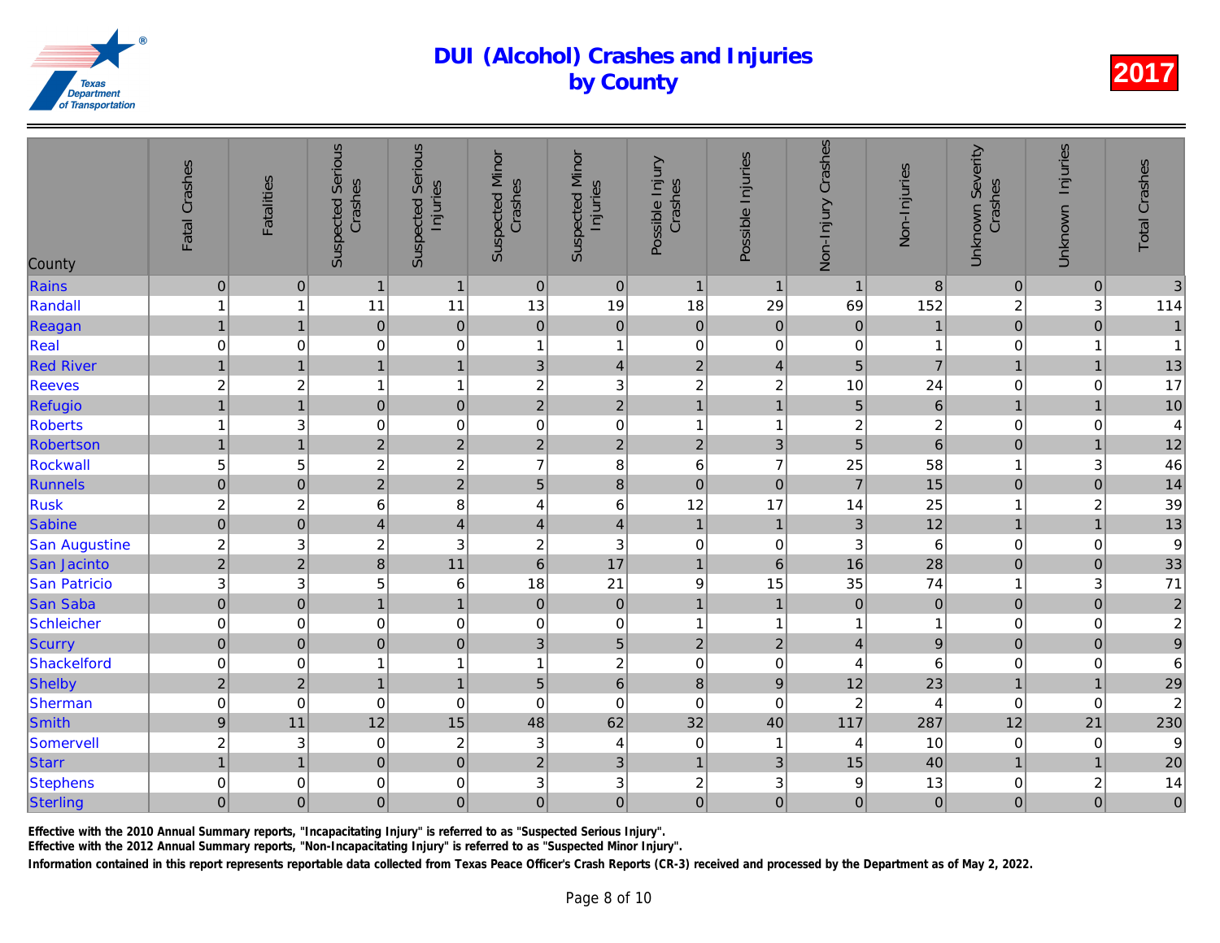| County           | Fatal Crashes    | <b>Fatalities</b>         | <b>Suspected Serious</b><br>Crashes | <b>Suspected Serious</b><br>Injuries | <b>Suspected Minor</b><br>Crashes | <b>Suspected Minor</b><br>Injuries | Possible Injury<br>Crashes | Possible Injuries       | Non-Injury Crashes      | Non-Injuries     |
|------------------|------------------|---------------------------|-------------------------------------|--------------------------------------|-----------------------------------|------------------------------------|----------------------------|-------------------------|-------------------------|------------------|
| Rains            | $\pmb{0}$        | $\pmb{0}$                 | $\overline{1}$                      | $\mathbf{1}$                         | $\mathbf{0}$                      | $\pmb{0}$                          | $\mathbf{1}$               | $\mathbf{1}$            | $\mathbf{1}$            | $\boldsymbol{8}$ |
| Randall          | $\mathbf{1}$     | 1                         | 11                                  | 11                                   | 13                                | 19                                 | 18                         | 29                      | 69                      | 152              |
| Reagan           | $\mathbf{1}$     | $\mathbf{1}$              | $\pmb{0}$                           | $\mathbf 0$                          | $\pmb{0}$                         | $\mathbf 0$                        | $\mathbf 0$                | $\pmb{0}$               | $\pmb{0}$               | $\mathbf{1}$     |
| Real             | $\mathbf 0$      | 0                         | 0                                   | 0                                    | 1                                 | $\mathbf{1}$                       | $\mathbf 0$                | 0                       | 0                       |                  |
| <b>Red River</b> | $\overline{1}$   | $\overline{1}$            | $\overline{1}$                      | $\overline{1}$                       | 3                                 | $\overline{4}$                     | $\overline{c}$             | $\overline{4}$          | 5                       | $\overline{7}$   |
| <b>Reeves</b>    | $\overline{c}$   | $\boldsymbol{2}$          | 1                                   | $\mathbf{1}$                         | $\boldsymbol{2}$                  | $\sqrt{3}$                         | $\boldsymbol{2}$           | $\boldsymbol{2}$        | 10                      | 24               |
| Refugio          | $\mathbf{1}$     | $\overline{1}$            | $\mathbf 0$                         | $\mathbf 0$                          | $\overline{c}$                    | $\overline{2}$                     | $\mathbf{1}$               | $\overline{1}$          | 5                       | $\overline{6}$   |
| <b>Roberts</b>   | $\mathbf{1}$     | 3                         | $\mathbf 0$                         | $\boldsymbol{0}$                     | 0                                 | $\boldsymbol{0}$                   | $\mathbf{1}$               | -1                      | $\overline{c}$          | $\frac{2}{6}$    |
| Robertson        | $\mathbf{1}$     | $\overline{1}$            | $\overline{2}$                      | $\overline{2}$                       | $\overline{2}$                    | $\overline{2}$                     | $\overline{2}$             | 3                       | 5                       |                  |
| Rockwall         | 5                | 5                         | $\boldsymbol{2}$                    | $\overline{c}$                       | $\overline{7}$                    | $\bf 8$                            | $\,6$                      | $\overline{7}$          | 25                      | 58               |
| Runnels          | $\overline{0}$   | $\mathbf 0$               | $\overline{2}$                      | $\overline{2}$                       | 5                                 | $\bf 8$                            | $\mathbf 0$                | $\pmb{0}$               | $\overline{7}$          | 15               |
| <b>Rusk</b>      | $\overline{c}$   | $\boldsymbol{2}$          | $6\phantom{1}6$                     | 8                                    | 4                                 | $\,6\,$                            | 12                         | 17                      | 14                      | 25               |
| Sabine           | $\overline{0}$   | $\mathbf 0$               | 4                                   | $\overline{4}$                       | $\overline{4}$                    | $\overline{4}$                     | $\mathbf{1}$               | $\mathbf{1}$            | 3                       | 12               |
| San Augustine    | $\overline{c}$   | 3                         | $\overline{c}$                      | 3                                    | $\boldsymbol{2}$                  | $\ensuremath{\mathsf{3}}$          | $\pmb{0}$                  | 0                       | 3                       | 6                |
| San Jacinto      | $\overline{2}$   | $\overline{2}$            | $\overline{8}$                      | 11                                   | $6\phantom{1}$                    | 17                                 | $\mathbf{1}$               | $6\phantom{1}$          | 16                      | 28               |
| San Patricio     | $\mathbf{3}$     | 3                         | 5                                   | $6\phantom{1}6$                      | 18                                | 21                                 | $\boldsymbol{9}$           | 15                      | 35                      | 74               |
| <b>San Saba</b>  | $\overline{0}$   | $\pmb{0}$                 | $\mathbf{1}$                        | $\mathbf{1}$                         | $\pmb{0}$                         | $\pmb{0}$                          | $\mathbf{1}$               | $\overline{1}$          | $\pmb{0}$               | $\overline{0}$   |
| Schleicher       | $\mathbf 0$      | 0                         | $\mathbf 0$                         | 0                                    | 0                                 | $\pmb{0}$                          | $\mathbf{1}$               | 1                       | 1                       | 1                |
| <b>Scurry</b>    | $\overline{0}$   | $\pmb{0}$                 | $\overline{0}$                      | $\pmb{0}$                            | 3                                 | 5                                  | $\overline{2}$             | $\mathbf 2$             | $\overline{4}$          | $\overline{9}$   |
| Shackelford      | $\mathbf 0$      | 0                         |                                     | $\mathbf{1}$                         | 1                                 | $\boldsymbol{2}$                   | $\pmb{0}$                  | $\pmb{0}$               | 4                       | 6                |
| Shelby           | $\overline{c}$   | $\mathbf 2$               | 1                                   | $\mathbf{1}$                         | 5                                 | $\overline{6}$                     | $\bf 8$                    | $\boldsymbol{9}$        | 12                      | 23               |
| Sherman          | $\pmb{0}$        | $\mathbf 0$               | $\mathbf 0$                         | $\mathbf 0$                          | $\mathbf 0$                       | $\boldsymbol{0}$                   | $\pmb{0}$                  | $\mathbf 0$             | $\overline{\mathbf{c}}$ | $\overline{4}$   |
| Smith            | $\boldsymbol{9}$ | 11                        | 12                                  | 15                                   | 48                                | 62                                 | 32                         | 40                      | 117                     | 287              |
| Somervell        | $\overline{c}$   | $\ensuremath{\mathsf{3}}$ | $\pmb{0}$                           | $\overline{c}$                       | $\ensuremath{\mathsf{3}}$         | $\overline{4}$                     | $\pmb{0}$                  | $\overline{\mathbf{1}}$ | 4                       | 10               |
| <b>Starr</b>     | $\mathbf{1}$     | $\overline{1}$            | $\overline{0}$                      | $\overline{0}$                       | $\overline{2}$                    | $\mathfrak{S}$                     | $\mathbf{1}$               | $\mathfrak{B}$          | 15                      | 40               |
| <b>Stephens</b>  | $\mathbf 0$      | 0                         | $\mathbf 0$                         | 0                                    | 3                                 | 3                                  | $\boldsymbol{2}$           | 3                       | $\boldsymbol{9}$        | 13               |
| Sterling         | $\mathbf 0$      | $\mathbf 0$               | $\mathbf 0$                         | $\overline{0}$                       | $\mathbf 0$                       | $\overline{0}$                     | $\mathbf 0$                | $\mathbf 0$             | $\mathsf 0$             | $\overline{O}$   |
|                  |                  |                           |                                     |                                      |                                   |                                    |                            |                         |                         |                  |

Effective with the 2010 Annual Summary reports, "Incapacitating Injury" is referred to as "Suspected Serious Injury".

Effective with the 2012 Annual Summary reports, "Non-Incapacitating Injury" is referred to as "Suspected Minor Injury".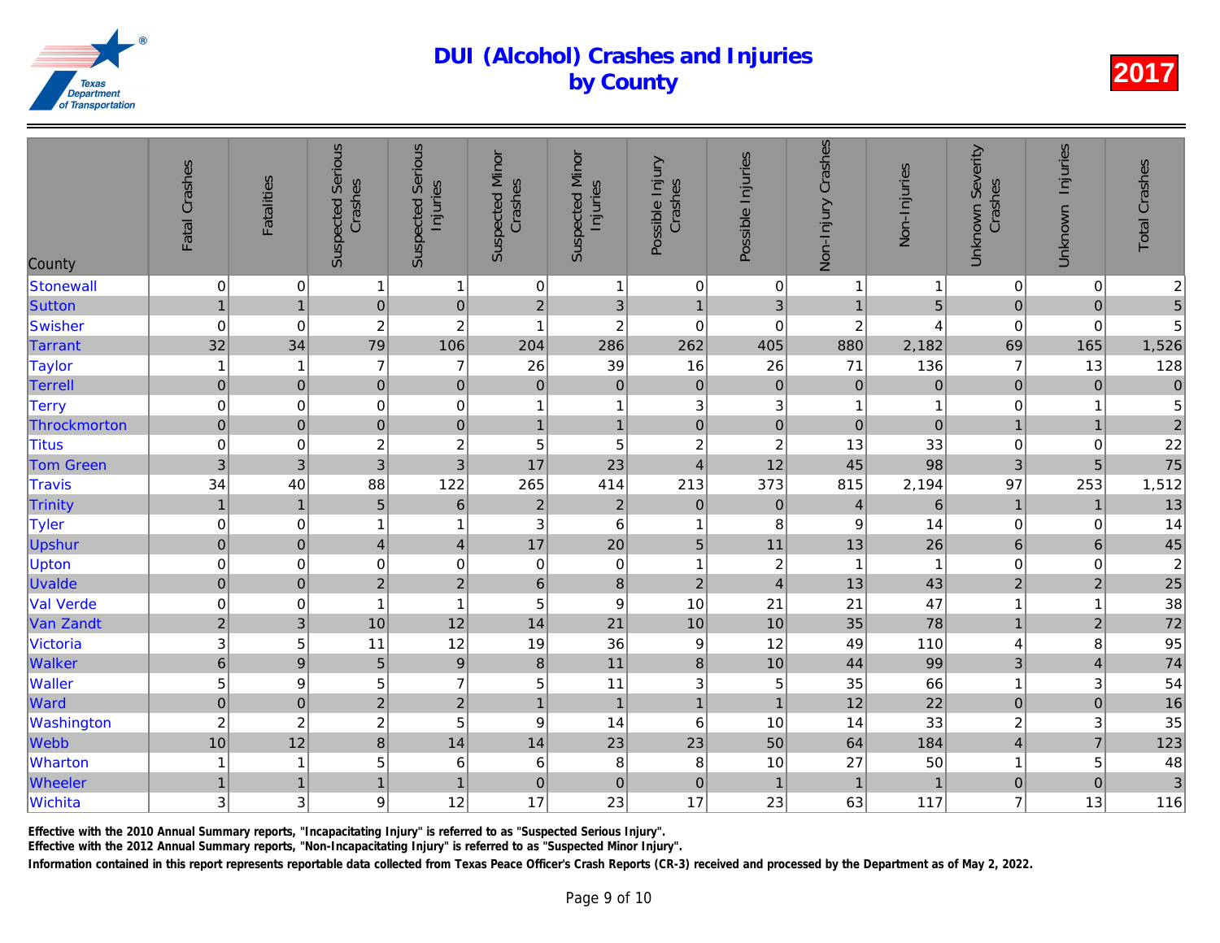| County           | Fatal Crashes             | <b>Fatalities</b> | <b>Suspected Serious</b><br>Crashes | <b>Suspected Serious</b><br>Injuries | <b>Suspected Minor</b><br>Crashes | <b>Suspected Minor</b><br>Injuries | Possible Injury<br>Crashes | Possible Injuries         | Non-Injury Crashes | Non-Injuries    |
|------------------|---------------------------|-------------------|-------------------------------------|--------------------------------------|-----------------------------------|------------------------------------|----------------------------|---------------------------|--------------------|-----------------|
| Stonewall        | $\pmb{0}$                 | $\mathbf 0$       | 1                                   | 1                                    | 0                                 | $\mathbf{1}$                       | $\pmb{0}$                  | 0                         | 1                  | $\overline{1}$  |
| Sutton           | $\mathbf{1}$              | $\overline{1}$    | $\overline{0}$                      | $\pmb{0}$                            | $\overline{c}$                    | 3                                  | $\mathbf{1}$               | 3                         | 1                  | $\overline{5}$  |
| Swisher          | $\boldsymbol{0}$          | $\mathbf 0$       | $\overline{c}$                      | $\overline{c}$                       | $\overline{1}$                    | $\overline{c}$                     | $\pmb{0}$                  | 0                         | $\overline{c}$     | $\overline{A}$  |
| <b>Tarrant</b>   | 32                        | 34                | 79                                  | 106                                  | 204                               | 286                                | 262                        | 405                       | 880                | 2,182           |
| <b>Taylor</b>    | $\mathbf{1}$              | -1                | $\overline{7}$                      | $\overline{7}$                       | 26                                | 39                                 | 16                         | 26                        | 71                 | 136             |
| Terrell          | $\mathbf 0$               | $\mathbf 0$       | $\pmb{0}$                           | $\mathbf 0$                          | $\mathbf 0$                       | $\mathbf 0$                        | $\mathbf 0$                | $\pmb{0}$                 | $\mathbf 0$        | $\overline{0}$  |
| <b>Terry</b>     | $\boldsymbol{0}$          | 0                 | $\pmb{0}$                           | $\mathbf 0$                          | $\overline{\mathbf{1}}$           | $\mathbf{1}$                       | 3                          | $\ensuremath{\mathsf{3}}$ | 1                  |                 |
| Throckmorton     | $\overline{0}$            | $\pmb{0}$         | $\mathbf 0$                         | $\pmb{0}$                            | $\overline{1}$                    | $\mathbf{1}$                       | $\mathbf 0$                | $\pmb{0}$                 | $\pmb{0}$          | $\overline{O}$  |
| <b>Titus</b>     | $\mathbf 0$               | 0                 | $\overline{c}$                      | $\overline{c}$                       | 5                                 | 5                                  | $\boldsymbol{2}$           | $\boldsymbol{2}$          | 13                 | 33              |
| <b>Tom Green</b> | $\overline{3}$            | 3                 | $\overline{3}$                      | $\overline{3}$                       | 17                                | 23                                 | $\overline{\mathbf{4}}$    | 12                        | 45                 | 98              |
| <b>Travis</b>    | 34                        | 40                | 88                                  | 122                                  | 265                               | 414                                | 213                        | 373                       | 815                | 2,194           |
| Trinity          | $\mathbf{1}$              | $\overline{1}$    | $\overline{5}$                      | $\,$ 6 $\,$                          | $\mathbf 2$                       | $\sqrt{2}$                         | $\mathbf 0$                | $\pmb{0}$                 | $\overline{4}$     | $6\phantom{.}6$ |
| Tyler            | $\,0\,$                   | 0                 | 1                                   | $\mathbf{1}$                         | 3                                 | $\,6$                              | $\mathbf{1}$               | 8                         | 9                  | 14              |
| Upshur           | $\mathbf 0$               | $\pmb{0}$         | 4                                   | $\overline{\mathbf{4}}$              | 17                                | 20                                 | 5                          | 11                        | 13                 | 26              |
| <b>Upton</b>     | $\mathbf 0$               | $\mathbf 0$       | $\mathbf 0$                         | $\mathbf 0$                          | $\mathbf 0$                       | $\pmb{0}$                          | $\mathbf{1}$               | $\overline{c}$            | 1                  | $\vert$         |
| <b>Uvalde</b>    | $\overline{0}$            | $\mathbf{0}$      | $\overline{2}$                      | $\overline{2}$                       | $6\phantom{1}$                    | $\bf{8}$                           | $\overline{2}$             | $\overline{4}$            | 13                 | 43              |
| <b>Val Verde</b> | $\mathbf 0$               | $\mathbf 0$       | 1                                   | $\mathbf{1}$                         | 5                                 | $\boldsymbol{9}$                   | 10                         | 21                        | 21                 | 47              |
| Van Zandt        | $\overline{2}$            | 3                 | 10                                  | 12                                   | 14                                | 21                                 | 10                         | 10                        | 35                 | 78              |
| Victoria         | $\ensuremath{\mathsf{3}}$ | 5                 | 11                                  | 12                                   | 19                                | 36                                 | 9                          | 12                        | 49                 | 110             |
| <b>Walker</b>    | $\overline{6}$            | $\boldsymbol{9}$  | $\overline{5}$                      | $\boldsymbol{9}$                     | $\bf 8$                           | 11                                 | $\bf 8$                    | 10                        | 44                 | 99              |
| Waller           | $\overline{5}$            | 9                 | 5                                   | $\overline{7}$                       | 5                                 | 11                                 | 3                          | 5                         | 35                 | 66              |
| Ward             | $\overline{0}$            | $\mathbf 0$       | $\overline{2}$                      | $\overline{2}$                       | $\overline{1}$                    | $\mathbf{1}$                       | $\mathbf{1}$               | $\overline{1}$            | 12                 | 22              |
| Washington       | $\overline{c}$            | $\boldsymbol{2}$  | $\overline{c}$                      | 5                                    | $\boldsymbol{9}$                  | 14                                 | $\,6$                      | 10                        | 14                 | 33              |
| Webb             | 10                        | 12                | $\bf{8}$                            | 14                                   | 14                                | 23                                 | 23                         | 50                        | 64                 | 184             |
| Wharton          | $\mathbf{1}$              | -1                | 5                                   | $6\phantom{1}6$                      | 6                                 | $\bf 8$                            | 8                          | 10                        | 27                 | 50              |
| Wheeler          | $\mathbf{1}$              | $\overline{1}$    | $\overline{1}$                      | $\mathbf{1}$                         | $\pmb{0}$                         | $\mathsf{O}\xspace$                | $\pmb{0}$                  | $\overline{1}$            | $\mathbf{1}$       |                 |
| Wichita          | 3                         | 3                 | $\mathsf g$                         | 12                                   | 17                                | 23                                 | 17                         | 23                        | 63                 | 117             |
|                  |                           |                   |                                     |                                      |                                   |                                    |                            |                           |                    |                 |

Effective with the 2010 Annual Summary reports, "Incapacitating Injury" is referred to as "Suspected Serious Injury".

Effective with the 2012 Annual Summary reports, "Non-Incapacitating Injury" is referred to as "Suspected Minor Injury".